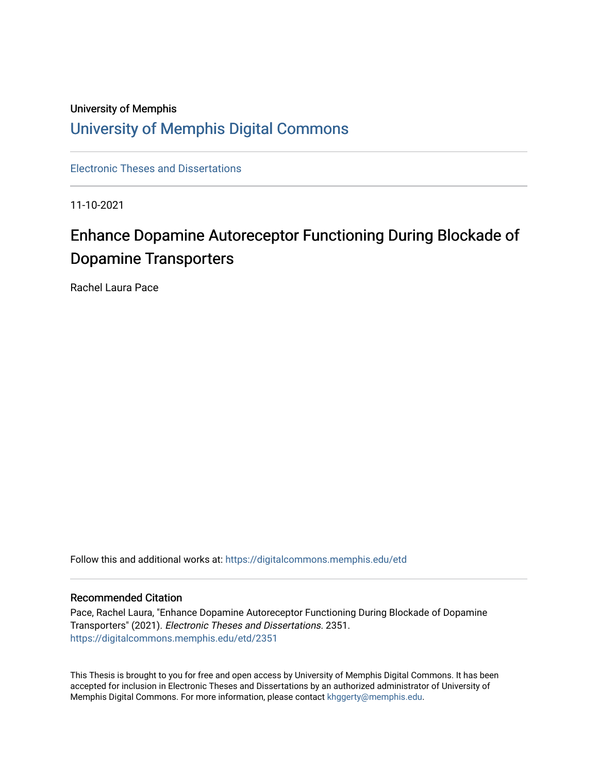## University of Memphis [University of Memphis Digital Commons](https://digitalcommons.memphis.edu/)

[Electronic Theses and Dissertations](https://digitalcommons.memphis.edu/etd)

11-10-2021

# Enhance Dopamine Autoreceptor Functioning During Blockade of Dopamine Transporters

Rachel Laura Pace

Follow this and additional works at: [https://digitalcommons.memphis.edu/etd](https://digitalcommons.memphis.edu/etd?utm_source=digitalcommons.memphis.edu%2Fetd%2F2351&utm_medium=PDF&utm_campaign=PDFCoverPages) 

#### Recommended Citation

Pace, Rachel Laura, "Enhance Dopamine Autoreceptor Functioning During Blockade of Dopamine Transporters" (2021). Electronic Theses and Dissertations. 2351. [https://digitalcommons.memphis.edu/etd/2351](https://digitalcommons.memphis.edu/etd/2351?utm_source=digitalcommons.memphis.edu%2Fetd%2F2351&utm_medium=PDF&utm_campaign=PDFCoverPages) 

This Thesis is brought to you for free and open access by University of Memphis Digital Commons. It has been accepted for inclusion in Electronic Theses and Dissertations by an authorized administrator of University of Memphis Digital Commons. For more information, please contact [khggerty@memphis.edu.](mailto:khggerty@memphis.edu)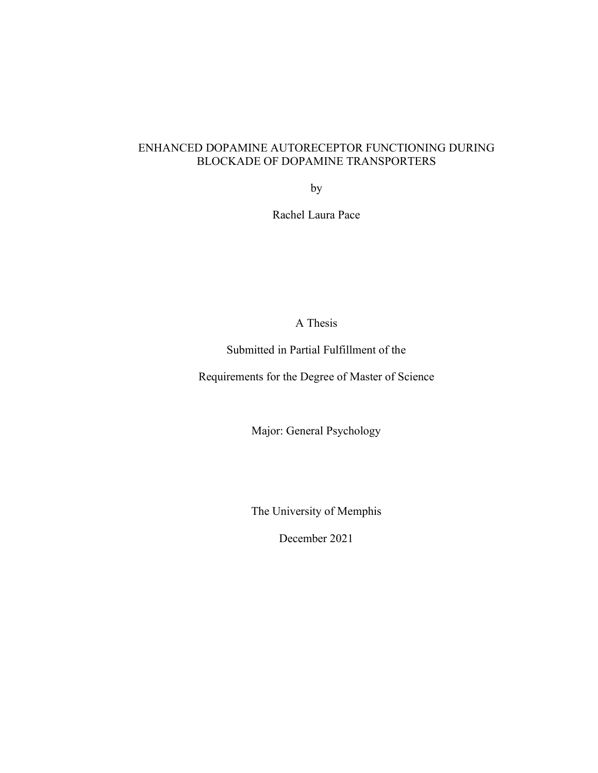### ENHANCED DOPAMINE AUTORECEPTOR FUNCTIONING DURING BLOCKADE OF DOPAMINE TRANSPORTERS

by

Rachel Laura Pace

A Thesis

Submitted in Partial Fulfillment of the

Requirements for the Degree of Master of Science

Major: General Psychology

The University of Memphis

December 2021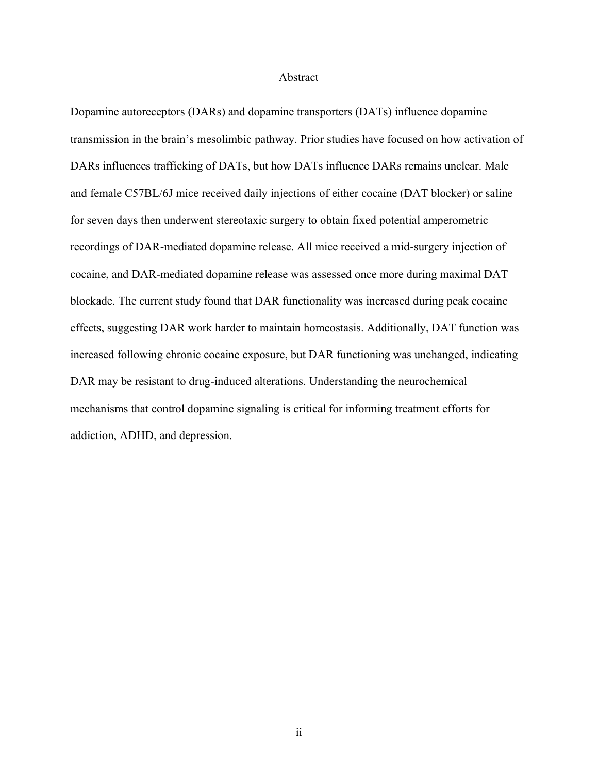#### Abstract

Dopamine autoreceptors (DARs) and dopamine transporters (DATs) influence dopamine transmission in the brain's mesolimbic pathway. Prior studies have focused on how activation of DARs influences trafficking of DATs, but how DATs influence DARs remains unclear. Male and female C57BL/6J mice received daily injections of either cocaine (DAT blocker) or saline for seven days then underwent stereotaxic surgery to obtain fixed potential amperometric recordings of DAR-mediated dopamine release. All mice received a mid-surgery injection of cocaine, and DAR-mediated dopamine release was assessed once more during maximal DAT blockade. The current study found that DAR functionality was increased during peak cocaine effects, suggesting DAR work harder to maintain homeostasis. Additionally, DAT function was increased following chronic cocaine exposure, but DAR functioning was unchanged, indicating DAR may be resistant to drug-induced alterations. Understanding the neurochemical mechanisms that control dopamine signaling is critical for informing treatment efforts for addiction, ADHD, and depression.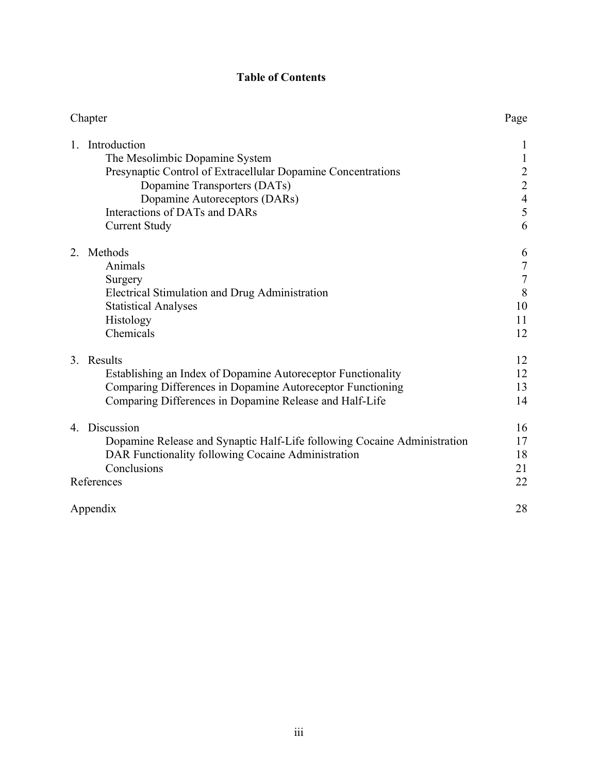### **Table of Contents**

| Chapter                                                                  | Page                                       |
|--------------------------------------------------------------------------|--------------------------------------------|
| Introduction<br>$\mathbf{1}$                                             | 1                                          |
| The Mesolimbic Dopamine System                                           | $\mathbf{1}$                               |
| Presynaptic Control of Extracellular Dopamine Concentrations             |                                            |
| Dopamine Transporters (DATs)                                             | $\begin{array}{c} 2 \\ 2 \\ 4 \end{array}$ |
| Dopamine Autoreceptors (DARs)                                            |                                            |
| Interactions of DATs and DARs                                            | 5                                          |
| <b>Current Study</b>                                                     | 6                                          |
| Methods<br>2                                                             | 6                                          |
| Animals                                                                  | $\frac{7}{7}$                              |
| Surgery                                                                  |                                            |
| Electrical Stimulation and Drug Administration                           | 8                                          |
| <b>Statistical Analyses</b>                                              | 10                                         |
| Histology                                                                | 11                                         |
| Chemicals                                                                | 12                                         |
| 3. Results                                                               | 12                                         |
| Establishing an Index of Dopamine Autoreceptor Functionality             | 12                                         |
| Comparing Differences in Dopamine Autoreceptor Functioning               | 13                                         |
| Comparing Differences in Dopamine Release and Half-Life                  | 14                                         |
| 4. Discussion                                                            | 16                                         |
| Dopamine Release and Synaptic Half-Life following Cocaine Administration | 17                                         |
| DAR Functionality following Cocaine Administration                       | 18                                         |
| Conclusions                                                              | 21                                         |
| References                                                               | 22                                         |
| Appendix                                                                 | 28                                         |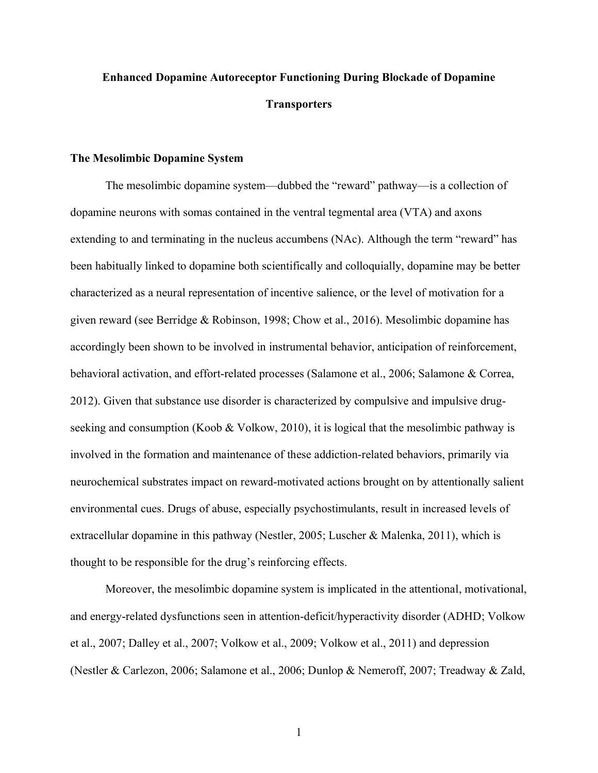## **Enhanced Dopamine Autoreceptor Functioning During Blockade of Dopamine Transporters**

#### **The Mesolimbic Dopamine System**

The mesolimbic dopamine system—dubbed the "reward" pathway—is a collection of dopamine neurons with somas contained in the ventral tegmental area (VTA) and axons extending to and terminating in the nucleus accumbens  $(NAc)$ . Although the term "reward" has been habitually linked to dopamine both scientifically and colloquially, dopamine may be better characterized as a neural representation of incentive salience, or the level of motivation for a given reward (see Berridge & Robinson, 1998; Chow et al., 2016). Mesolimbic dopamine has accordingly been shown to be involved in instrumental behavior, anticipation of reinforcement, behavioral activation, and effort-related processes (Salamone et al., 2006; Salamone & Correa, 2012). Given that substance use disorder is characterized by compulsive and impulsive drugseeking and consumption (Koob & Volkow, 2010), it is logical that the mesolimbic pathway is involved in the formation and maintenance of these addiction-related behaviors, primarily via neurochemical substrates impact on reward-motivated actions brought on by attentionally salient environmental cues. Drugs of abuse, especially psychostimulants, result in increased levels of extracellular dopamine in this pathway (Nestler, 2005; Luscher & Malenka, 2011), which is thought to be responsible for the drug's reinforcing effects.

Moreover, the mesolimbic dopamine system is implicated in the attentional, motivational, and energy-related dysfunctions seen in attention-deficit/hyperactivity disorder (ADHD; Volkow et al., 2007; Dalley et al., 2007; Volkow et al., 2009; Volkow et al., 2011) and depression (Nestler & Carlezon, 2006; Salamone et al., 2006; Dunlop & Nemeroff, 2007; Treadway & Zald,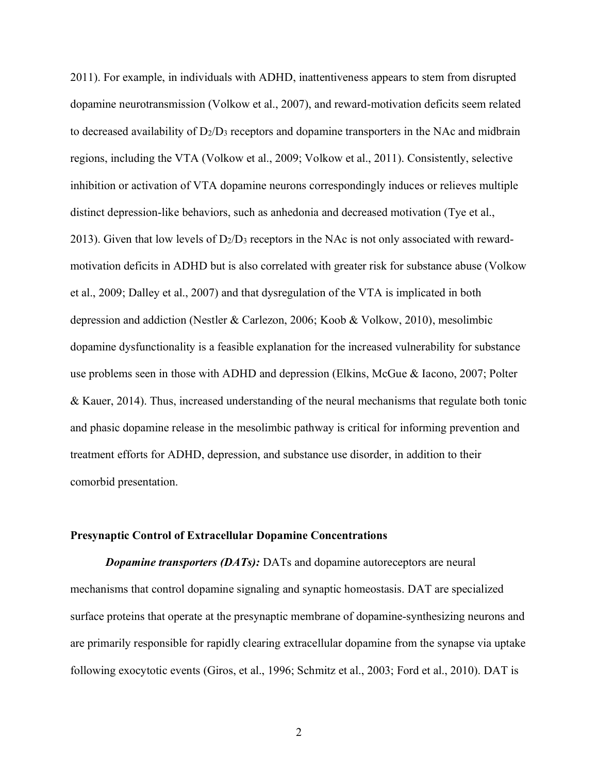2011). For example, in individuals with ADHD, inattentiveness appears to stem from disrupted dopamine neurotransmission (Volkow et al., 2007), and reward-motivation deficits seem related to decreased availability of  $D_2/D_3$  receptors and dopamine transporters in the NAc and midbrain regions, including the VTA (Volkow et al., 2009; Volkow et al., 2011). Consistently, selective inhibition or activation of VTA dopamine neurons correspondingly induces or relieves multiple distinct depression-like behaviors, such as anhedonia and decreased motivation (Tye et al., 2013). Given that low levels of  $D_2/D_3$  receptors in the NAc is not only associated with rewardmotivation deficits in ADHD but is also correlated with greater risk for substance abuse (Volkow et al., 2009; Dalley et al., 2007) and that dysregulation of the VTA is implicated in both depression and addiction (Nestler & Carlezon, 2006; Koob & Volkow, 2010), mesolimbic dopamine dysfunctionality is a feasible explanation for the increased vulnerability for substance use problems seen in those with ADHD and depression (Elkins, McGue & Iacono, 2007; Polter & Kauer, 2014). Thus, increased understanding of the neural mechanisms that regulate both tonic and phasic dopamine release in the mesolimbic pathway is critical for informing prevention and treatment efforts for ADHD, depression, and substance use disorder, in addition to their comorbid presentation.

#### **Presynaptic Control of Extracellular Dopamine Concentrations**

*Dopamine transporters (DATs):* DATs and dopamine autoreceptors are neural mechanisms that control dopamine signaling and synaptic homeostasis. DAT are specialized surface proteins that operate at the presynaptic membrane of dopamine-synthesizing neurons and are primarily responsible for rapidly clearing extracellular dopamine from the synapse via uptake following exocytotic events (Giros, et al., 1996; Schmitz et al., 2003; Ford et al., 2010). DAT is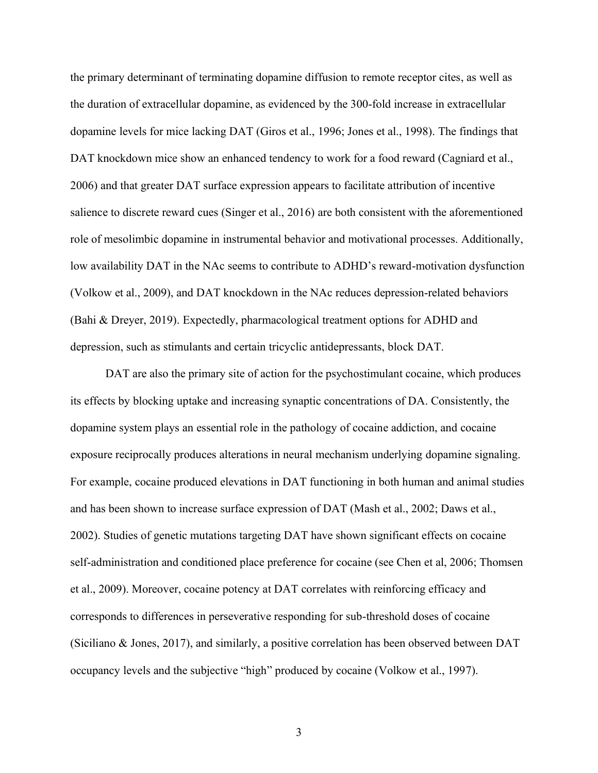the primary determinant of terminating dopamine diffusion to remote receptor cites, as well as the duration of extracellular dopamine, as evidenced by the 300-fold increase in extracellular dopamine levels for mice lacking DAT (Giros et al., 1996; Jones et al., 1998). The findings that DAT knockdown mice show an enhanced tendency to work for a food reward (Cagniard et al., 2006) and that greater DAT surface expression appears to facilitate attribution of incentive salience to discrete reward cues (Singer et al., 2016) are both consistent with the aforementioned role of mesolimbic dopamine in instrumental behavior and motivational processes. Additionally, low availability DAT in the NAc seems to contribute to ADHD's reward-motivation dysfunction (Volkow et al., 2009), and DAT knockdown in the NAc reduces depression-related behaviors (Bahi & Dreyer, 2019). Expectedly, pharmacological treatment options for ADHD and depression, such as stimulants and certain tricyclic antidepressants, block DAT.

DAT are also the primary site of action for the psychostimulant cocaine, which produces its effects by blocking uptake and increasing synaptic concentrations of DA. Consistently, the dopamine system plays an essential role in the pathology of cocaine addiction, and cocaine exposure reciprocally produces alterations in neural mechanism underlying dopamine signaling. For example, cocaine produced elevations in DAT functioning in both human and animal studies and has been shown to increase surface expression of DAT (Mash et al., 2002; Daws et al., 2002). Studies of genetic mutations targeting DAT have shown significant effects on cocaine self-administration and conditioned place preference for cocaine (see Chen et al, 2006; Thomsen et al., 2009). Moreover, cocaine potency at DAT correlates with reinforcing efficacy and corresponds to differences in perseverative responding for sub-threshold doses of cocaine (Siciliano & Jones, 2017), and similarly, a positive correlation has been observed between DAT occupancy levels and the subjective "high" produced by cocaine (Volkow et al., 1997).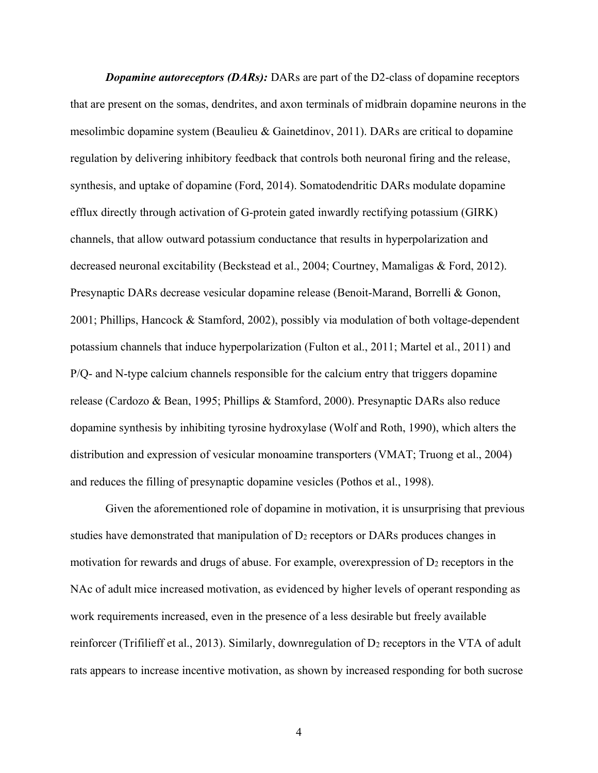*Dopamine autoreceptors (DARs):* DARs are part of the D2-class of dopamine receptors that are present on the somas, dendrites, and axon terminals of midbrain dopamine neurons in the mesolimbic dopamine system (Beaulieu & Gainetdinov, 2011). DARs are critical to dopamine regulation by delivering inhibitory feedback that controls both neuronal firing and the release, synthesis, and uptake of dopamine (Ford, 2014). Somatodendritic DARs modulate dopamine efflux directly through activation of G-protein gated inwardly rectifying potassium (GIRK) channels, that allow outward potassium conductance that results in hyperpolarization and decreased neuronal excitability (Beckstead et al., 2004; Courtney, Mamaligas & Ford, 2012). Presynaptic DARs decrease vesicular dopamine release (Benoit-Marand, Borrelli & Gonon, 2001; Phillips, Hancock & Stamford, 2002), possibly via modulation of both voltage-dependent potassium channels that induce hyperpolarization (Fulton et al., 2011; Martel et al., 2011) and P/Q- and N-type calcium channels responsible for the calcium entry that triggers dopamine release (Cardozo & Bean, 1995; Phillips & Stamford, 2000). Presynaptic DARs also reduce dopamine synthesis by inhibiting tyrosine hydroxylase (Wolf and Roth, 1990), which alters the distribution and expression of vesicular monoamine transporters (VMAT; Truong et al., 2004) and reduces the filling of presynaptic dopamine vesicles (Pothos et al., 1998).

Given the aforementioned role of dopamine in motivation, it is unsurprising that previous studies have demonstrated that manipulation of  $D_2$  receptors or DARs produces changes in motivation for rewards and drugs of abuse. For example, overexpression of  $D_2$  receptors in the NAc of adult mice increased motivation, as evidenced by higher levels of operant responding as work requirements increased, even in the presence of a less desirable but freely available reinforcer (Trifilieff et al., 2013). Similarly, downregulation of D<sub>2</sub> receptors in the VTA of adult rats appears to increase incentive motivation, as shown by increased responding for both sucrose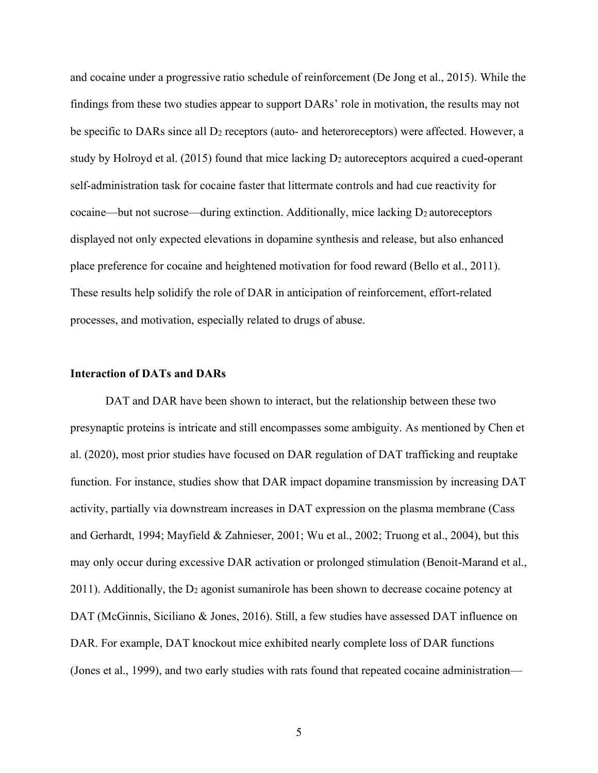and cocaine under a progressive ratio schedule of reinforcement (De Jong et al., 2015). While the findings from these two studies appear to support DARs' role in motivation, the results may not be specific to DARs since all  $D_2$  receptors (auto- and heteroreceptors) were affected. However, a study by Holroyd et al. (2015) found that mice lacking D<sub>2</sub> autoreceptors acquired a cued-operant self-administration task for cocaine faster that littermate controls and had cue reactivity for cocaine—but not sucrose—during extinction. Additionally, mice lacking  $D_2$  autoreceptors displayed not only expected elevations in dopamine synthesis and release, but also enhanced place preference for cocaine and heightened motivation for food reward (Bello et al., 2011). These results help solidify the role of DAR in anticipation of reinforcement, effort-related processes, and motivation, especially related to drugs of abuse.

#### **Interaction of DATs and DARs**

DAT and DAR have been shown to interact, but the relationship between these two presynaptic proteins is intricate and still encompasses some ambiguity. As mentioned by Chen et al. (2020), most prior studies have focused on DAR regulation of DAT trafficking and reuptake function. For instance, studies show that DAR impact dopamine transmission by increasing DAT activity, partially via downstream increases in DAT expression on the plasma membrane (Cass and Gerhardt, 1994; Mayfield & Zahnieser, 2001; Wu et al., 2002; Truong et al., 2004), but this may only occur during excessive DAR activation or prolonged stimulation (Benoit-Marand et al., 2011). Additionally, the  $D_2$  agonist sumanirole has been shown to decrease cocaine potency at DAT (McGinnis, Siciliano & Jones, 2016). Still, a few studies have assessed DAT influence on DAR. For example, DAT knockout mice exhibited nearly complete loss of DAR functions (Jones et al., 1999), and two early studies with rats found that repeated cocaine administration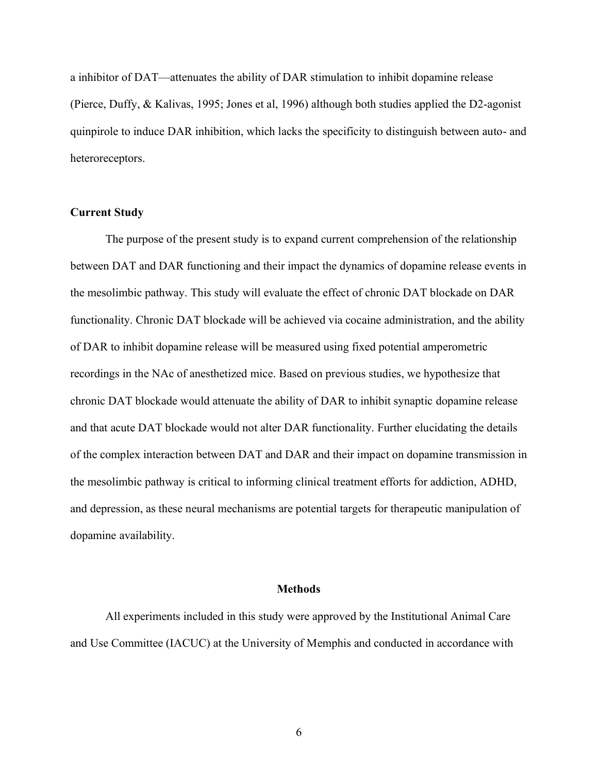a inhibitor of DAT—attenuates the ability of DAR stimulation to inhibit dopamine release (Pierce, Duffy, & Kalivas, 1995; Jones et al, 1996) although both studies applied the D2-agonist quinpirole to induce DAR inhibition, which lacks the specificity to distinguish between auto- and heteroreceptors.

#### **Current Study**

The purpose of the present study is to expand current comprehension of the relationship between DAT and DAR functioning and their impact the dynamics of dopamine release events in the mesolimbic pathway. This study will evaluate the effect of chronic DAT blockade on DAR functionality. Chronic DAT blockade will be achieved via cocaine administration, and the ability of DAR to inhibit dopamine release will be measured using fixed potential amperometric recordings in the NAc of anesthetized mice. Based on previous studies, we hypothesize that chronic DAT blockade would attenuate the ability of DAR to inhibit synaptic dopamine release and that acute DAT blockade would not alter DAR functionality. Further elucidating the details of the complex interaction between DAT and DAR and their impact on dopamine transmission in the mesolimbic pathway is critical to informing clinical treatment efforts for addiction, ADHD, and depression, as these neural mechanisms are potential targets for therapeutic manipulation of dopamine availability.

#### **Methods**

All experiments included in this study were approved by the Institutional Animal Care and Use Committee (IACUC) at the University of Memphis and conducted in accordance with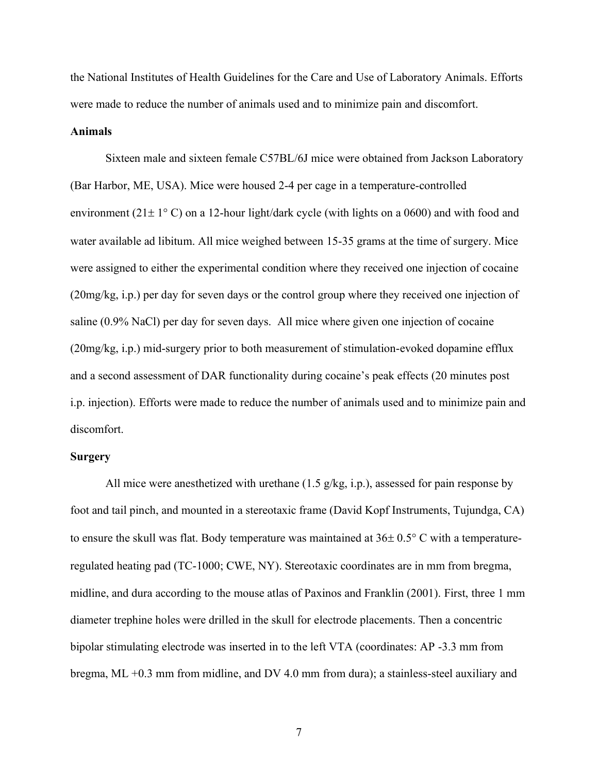the National Institutes of Health Guidelines for the Care and Use of Laboratory Animals. Efforts were made to reduce the number of animals used and to minimize pain and discomfort.

#### **Animals**

Sixteen male and sixteen female C57BL/6J mice were obtained from Jackson Laboratory (Bar Harbor, ME, USA). Mice were housed 2-4 per cage in a temperature-controlled environment (21 $\pm$  1° C) on a 12-hour light/dark cycle (with lights on a 0600) and with food and water available ad libitum. All mice weighed between 15-35 grams at the time of surgery. Mice were assigned to either the experimental condition where they received one injection of cocaine (20mg/kg, i.p.) per day for seven days or the control group where they received one injection of saline (0.9% NaCl) per day for seven days. All mice where given one injection of cocaine (20mg/kg, i.p.) mid-surgery prior to both measurement of stimulation-evoked dopamine efflux and a second assessment of DAR functionality during cocaine's peak effects (20 minutes post i.p. injection). Efforts were made to reduce the number of animals used and to minimize pain and discomfort.

#### **Surgery**

All mice were anesthetized with urethane (1.5 g/kg, i.p.), assessed for pain response by foot and tail pinch, and mounted in a stereotaxic frame (David Kopf Instruments, Tujundga, CA) to ensure the skull was flat. Body temperature was maintained at  $36\pm 0.5^{\circ}$  C with a temperatureregulated heating pad (TC-1000; CWE, NY). Stereotaxic coordinates are in mm from bregma, midline, and dura according to the mouse atlas of Paxinos and Franklin (2001). First, three 1 mm diameter trephine holes were drilled in the skull for electrode placements. Then a concentric bipolar stimulating electrode was inserted in to the left VTA (coordinates: AP -3.3 mm from bregma, ML +0.3 mm from midline, and DV 4.0 mm from dura); a stainless-steel auxiliary and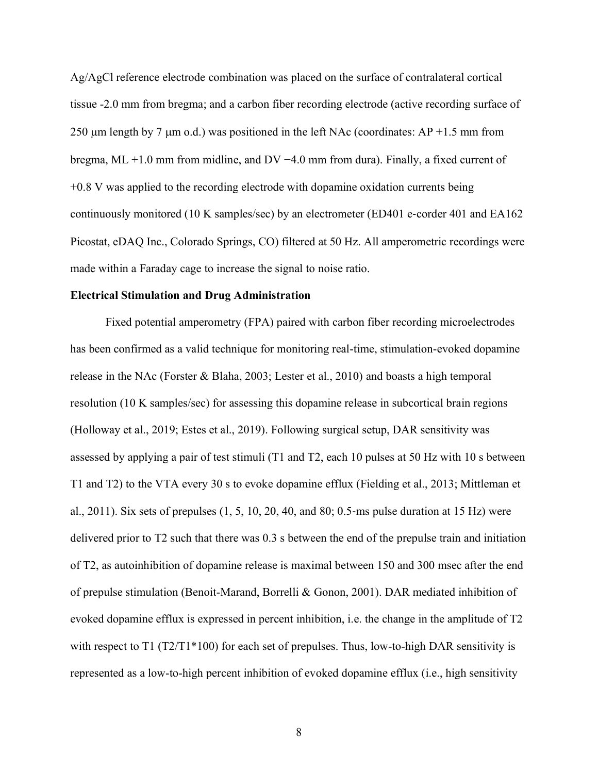Ag/AgCl reference electrode combination was placed on the surface of contralateral cortical tissue -2.0 mm from bregma; and a carbon fiber recording electrode (active recording surface of 250  $\mu$ m length by 7  $\mu$ m o.d.) was positioned in the left NAc (coordinates: AP +1.5 mm from bregma, ML +1.0 mm from midline, and DV  $-4.0$  mm from dura). Finally, a fixed current of +0.8 V was applied to the recording electrode with dopamine oxidation currents being continuously monitored (10 K samples/sec) by an electrometer (ED401 e‐corder 401 and EA162 Picostat, eDAQ Inc., Colorado Springs, CO) filtered at 50 Hz. All amperometric recordings were made within a Faraday cage to increase the signal to noise ratio.

#### **Electrical Stimulation and Drug Administration**

Fixed potential amperometry (FPA) paired with carbon fiber recording microelectrodes has been confirmed as a valid technique for monitoring real-time, stimulation-evoked dopamine release in the NAc (Forster & Blaha, 2003; Lester et al., 2010) and boasts a high temporal resolution (10 K samples/sec) for assessing this dopamine release in subcortical brain regions (Holloway et al., 2019; Estes et al., 2019). Following surgical setup, DAR sensitivity was assessed by applying a pair of test stimuli (T1 and T2, each 10 pulses at 50 Hz with 10 s between T1 and T2) to the VTA every 30 s to evoke dopamine efflux (Fielding et al., 2013; Mittleman et al., 2011). Six sets of prepulses (1, 5, 10, 20, 40, and 80; 0.5‐ms pulse duration at 15 Hz) were delivered prior to T2 such that there was 0.3 s between the end of the prepulse train and initiation of T2, as autoinhibition of dopamine release is maximal between 150 and 300 msec after the end of prepulse stimulation (Benoit-Marand, Borrelli & Gonon, 2001). DAR mediated inhibition of evoked dopamine efflux is expressed in percent inhibition, i.e. the change in the amplitude of T2 with respect to T1 ( $T2/T1*100$ ) for each set of prepulses. Thus, low-to-high DAR sensitivity is represented as a low-to-high percent inhibition of evoked dopamine efflux (i.e., high sensitivity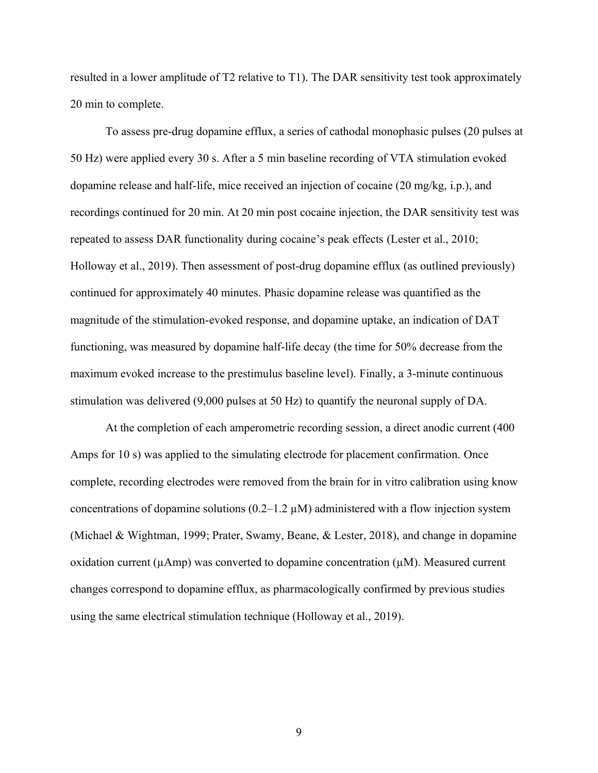resulted in a lower amplitude of T2 relative to T1). The DAR sensitivity test took approximately 20 min to complete.

To assess pre-drug dopamine efflux, a series of cathodal monophasic pulses (20 pulses at 50 Hz) were applied every 30 s. After a 5 min baseline recording of VTA stimulation evoked dopamine release and half-life, mice received an injection of cocaine (20 mg/kg, i.p.), and recordings continued for 20 min. At 20 min post cocaine injection, the DAR sensitivity test was repeated to assess DAR functionality during cocaine's peak effects (Lester et al., 2010; Holloway et al., 2019). Then assessment of post-drug dopamine efflux (as outlined previously) continued for approximately 40 minutes. Phasic dopamine release was quantified as the magnitude of the stimulation-evoked response, and dopamine uptake, an indication of DAT functioning, was measured by dopamine half-life decay (the time for 50% decrease from the maximum evoked increase to the prestimulus baseline level). Finally, a 3-minute continuous stimulation was delivered (9,000 pulses at 50 Hz) to quantify the neuronal supply of DA.

At the completion of each amperometric recording session, a direct anodic current (400 Amps for 10 s) was applied to the simulating electrode for placement confirmation. Once complete, recording electrodes were removed from the brain for in vitro calibration using know concentrations of dopamine solutions  $(0.2-1.2 \mu M)$  administered with a flow injection system (Michael & Wightman, 1999; Prater, Swamy, Beane, & Lester, 2018), and change in dopamine oxidation current ( $\mu$ Amp) was converted to dopamine concentration ( $\mu$ M). Measured current changes correspond to dopamine efflux, as pharmacologically confirmed by previous studies using the same electrical stimulation technique (Holloway et al., 2019).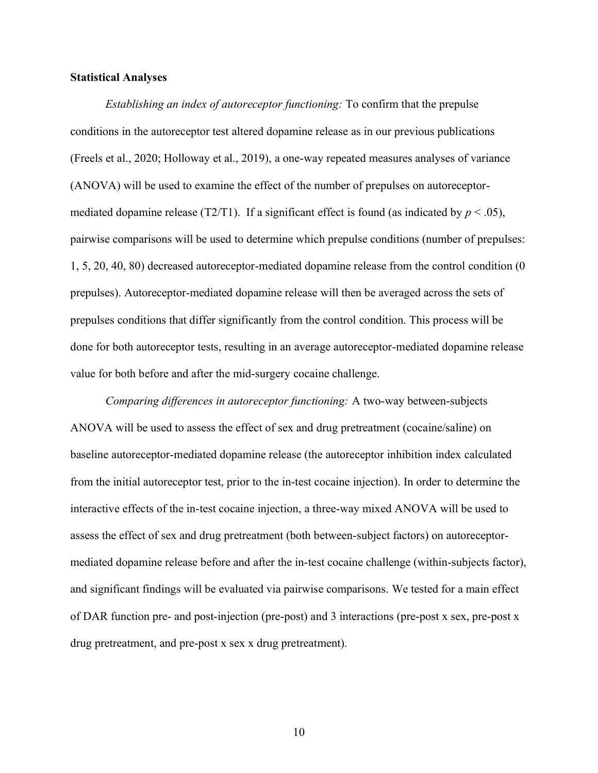#### **Statistical Analyses**

*Establishing an index of autoreceptor functioning:* To confirm that the prepulse conditions in the autoreceptor test altered dopamine release as in our previous publications (Freels et al., 2020; Holloway et al., 2019), a one-way repeated measures analyses of variance (ANOVA) will be used to examine the effect of the number of prepulses on autoreceptormediated dopamine release (T2/T1). If a significant effect is found (as indicated by  $p < .05$ ), pairwise comparisons will be used to determine which prepulse conditions (number of prepulses: 1, 5, 20, 40, 80) decreased autoreceptor-mediated dopamine release from the control condition (0 prepulses). Autoreceptor-mediated dopamine release will then be averaged across the sets of prepulses conditions that differ significantly from the control condition. This process will be done for both autoreceptor tests, resulting in an average autoreceptor-mediated dopamine release value for both before and after the mid-surgery cocaine challenge.

*Comparing differences in autoreceptor functioning:* A two-way between-subjects ANOVA will be used to assess the effect of sex and drug pretreatment (cocaine/saline) on baseline autoreceptor-mediated dopamine release (the autoreceptor inhibition index calculated from the initial autoreceptor test, prior to the in-test cocaine injection). In order to determine the interactive effects of the in-test cocaine injection, a three-way mixed ANOVA will be used to assess the effect of sex and drug pretreatment (both between-subject factors) on autoreceptormediated dopamine release before and after the in-test cocaine challenge (within-subjects factor), and significant findings will be evaluated via pairwise comparisons. We tested for a main effect of DAR function pre- and post-injection (pre-post) and 3 interactions (pre-post x sex, pre-post x drug pretreatment, and pre-post x sex x drug pretreatment).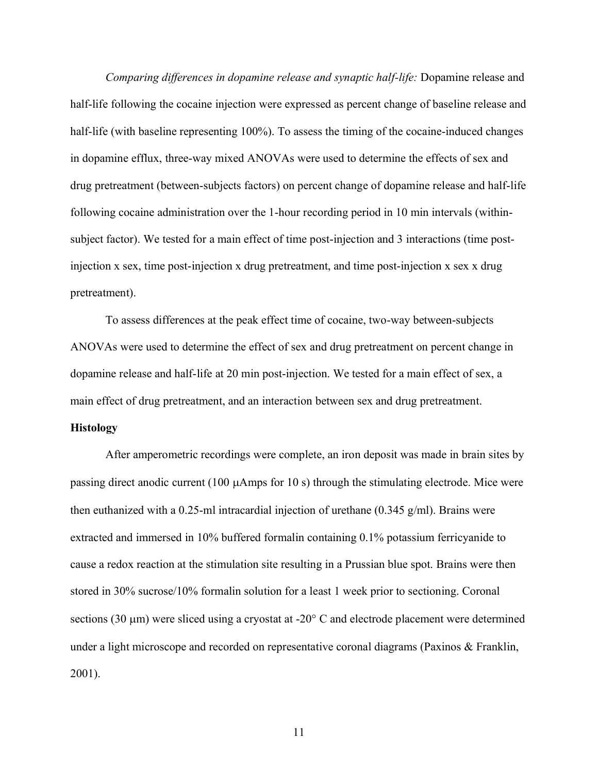*Comparing differences in dopamine release and synaptic half-life:* Dopamine release and half-life following the cocaine injection were expressed as percent change of baseline release and half-life (with baseline representing 100%). To assess the timing of the cocaine-induced changes in dopamine efflux, three-way mixed ANOVAs were used to determine the effects of sex and drug pretreatment (between-subjects factors) on percent change of dopamine release and half-life following cocaine administration over the 1-hour recording period in 10 min intervals (withinsubject factor). We tested for a main effect of time post-injection and 3 interactions (time postinjection x sex, time post-injection x drug pretreatment, and time post-injection x sex x drug pretreatment).

To assess differences at the peak effect time of cocaine, two-way between-subjects ANOVAs were used to determine the effect of sex and drug pretreatment on percent change in dopamine release and half-life at 20 min post-injection. We tested for a main effect of sex, a main effect of drug pretreatment, and an interaction between sex and drug pretreatment.

#### **Histology**

After amperometric recordings were complete, an iron deposit was made in brain sites by passing direct anodic current (100  $\mu$ Amps for 10 s) through the stimulating electrode. Mice were then euthanized with a 0.25-ml intracardial injection of urethane (0.345 g/ml). Brains were extracted and immersed in 10% buffered formalin containing 0.1% potassium ferricyanide to cause a redox reaction at the stimulation site resulting in a Prussian blue spot. Brains were then stored in 30% sucrose/10% formalin solution for a least 1 week prior to sectioning. Coronal sections (30  $\mu$ m) were sliced using a cryostat at -20 $\degree$  C and electrode placement were determined under a light microscope and recorded on representative coronal diagrams (Paxinos & Franklin, 2001).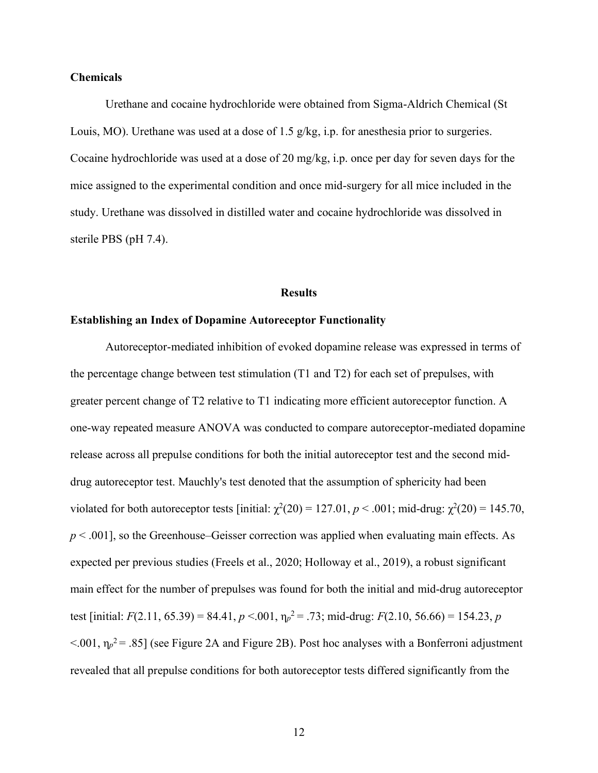#### **Chemicals**

Urethane and cocaine hydrochloride were obtained from Sigma-Aldrich Chemical (St Louis, MO). Urethane was used at a dose of 1.5 g/kg, i.p. for anesthesia prior to surgeries. Cocaine hydrochloride was used at a dose of 20 mg/kg, i.p. once per day for seven days for the mice assigned to the experimental condition and once mid-surgery for all mice included in the study. Urethane was dissolved in distilled water and cocaine hydrochloride was dissolved in sterile PBS (pH 7.4).

#### **Results**

#### **Establishing an Index of Dopamine Autoreceptor Functionality**

Autoreceptor-mediated inhibition of evoked dopamine release was expressed in terms of the percentage change between test stimulation (T1 and T2) for each set of prepulses, with greater percent change of T2 relative to T1 indicating more efficient autoreceptor function. A one-way repeated measure ANOVA was conducted to compare autoreceptor-mediated dopamine release across all prepulse conditions for both the initial autoreceptor test and the second middrug autoreceptor test. Mauchly's test denoted that the assumption of sphericity had been violated for both autoreceptor tests [initial:  $\chi^2(20) = 127.01$ ,  $p < .001$ ; mid-drug:  $\chi^2(20) = 145.70$ ,  $p < .001$ ], so the Greenhouse–Geisser correction was applied when evaluating main effects. As expected per previous studies (Freels et al., 2020; Holloway et al., 2019), a robust significant main effect for the number of prepulses was found for both the initial and mid-drug autoreceptor test [initial:  $F(2.11, 65.39) = 84.41, p < .001, \eta_p^2 = .73$ ; mid-drug:  $F(2.10, 56.66) = 154.23, p$  $\leq 0.001$ ,  $\eta_p^2 = .85$ ] (see Figure 2A and Figure 2B). Post hoc analyses with a Bonferroni adjustment revealed that all prepulse conditions for both autoreceptor tests differed significantly from the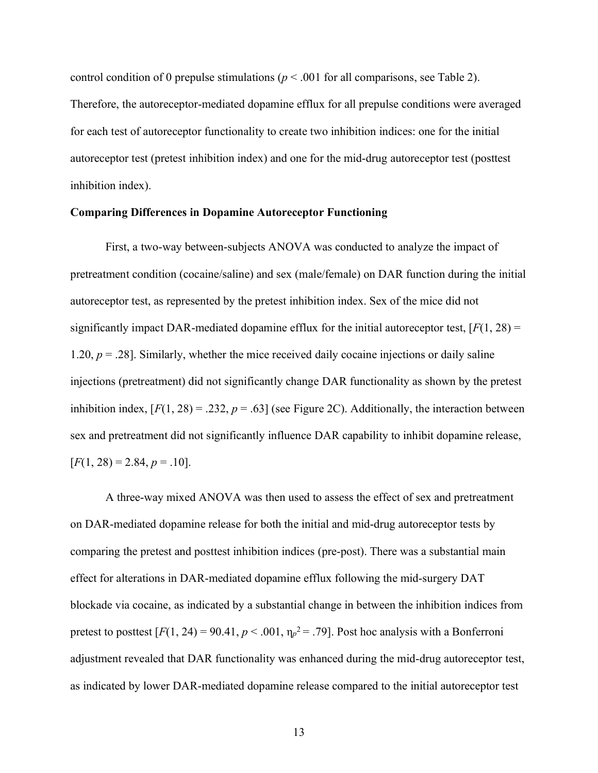control condition of 0 prepulse stimulations ( $p < .001$  for all comparisons, see Table 2). Therefore, the autoreceptor-mediated dopamine efflux for all prepulse conditions were averaged for each test of autoreceptor functionality to create two inhibition indices: one for the initial autoreceptor test (pretest inhibition index) and one for the mid-drug autoreceptor test (posttest inhibition index).

#### **Comparing Differences in Dopamine Autoreceptor Functioning**

First, a two-way between-subjects ANOVA was conducted to analyze the impact of pretreatment condition (cocaine/saline) and sex (male/female) on DAR function during the initial autoreceptor test, as represented by the pretest inhibition index. Sex of the mice did not significantly impact DAR-mediated dopamine efflux for the initial autoreceptor test,  $[F(1, 28) =$ 1.20,  $p = 0.28$ . Similarly, whether the mice received daily cocaine injections or daily saline injections (pretreatment) did not significantly change DAR functionality as shown by the pretest inhibition index,  $[F(1, 28) = .232, p = .63]$  (see Figure 2C). Additionally, the interaction between sex and pretreatment did not significantly influence DAR capability to inhibit dopamine release,  $[F(1, 28) = 2.84, p = .10].$ 

A three-way mixed ANOVA was then used to assess the effect of sex and pretreatment on DAR-mediated dopamine release for both the initial and mid-drug autoreceptor tests by comparing the pretest and posttest inhibition indices (pre-post). There was a substantial main effect for alterations in DAR-mediated dopamine efflux following the mid-surgery DAT blockade via cocaine, as indicated by a substantial change in between the inhibition indices from pretest to posttest  $[F(1, 24) = 90.41, p < .001, \eta_p^2 = .79]$ . Post hoc analysis with a Bonferroni adjustment revealed that DAR functionality was enhanced during the mid-drug autoreceptor test, as indicated by lower DAR-mediated dopamine release compared to the initial autoreceptor test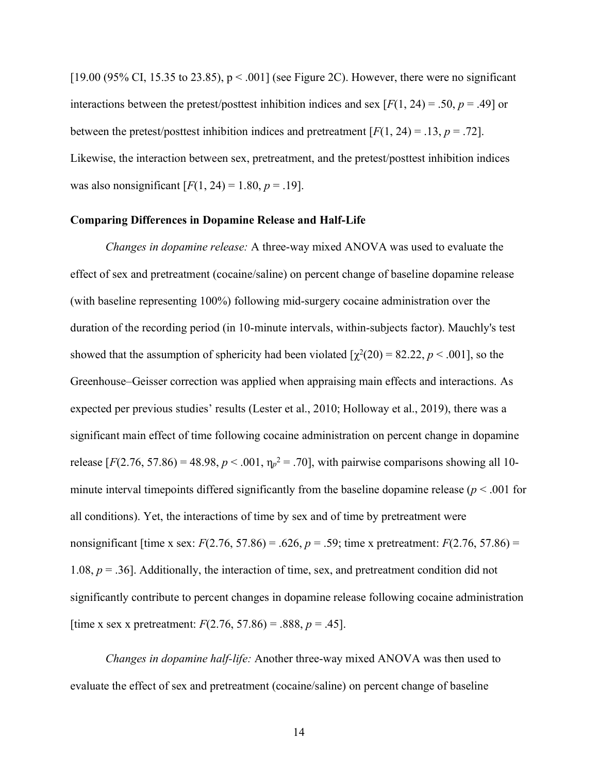$[19.00 (95\% \text{ CI}, 15.35 \text{ to } 23.85), p < .001]$  (see Figure 2C). However, there were no significant interactions between the pretest/posttest inhibition indices and sex  $[F(1, 24) = .50, p = .49]$  or between the pretest/posttest inhibition indices and pretreatment  $[F(1, 24) = .13, p = .72]$ . Likewise, the interaction between sex, pretreatment, and the pretest/posttest inhibition indices was also nonsignificant  $[F(1, 24) = 1.80, p = .19]$ .

#### **Comparing Differences in Dopamine Release and Half-Life**

*Changes in dopamine release:* A three-way mixed ANOVA was used to evaluate the effect of sex and pretreatment (cocaine/saline) on percent change of baseline dopamine release (with baseline representing 100%) following mid-surgery cocaine administration over the duration of the recording period (in 10-minute intervals, within-subjects factor). Mauchly's test showed that the assumption of sphericity had been violated  $[\chi^2(20) = 82.22, p \le .001]$ , so the Greenhouse–Geisser correction was applied when appraising main effects and interactions. As expected per previous studies' results (Lester et al., 2010; Holloway et al., 2019), there was a significant main effect of time following cocaine administration on percent change in dopamine release  $[F(2.76, 57.86) = 48.98, p < .001, \eta_p^2 = .70]$ , with pairwise comparisons showing all 10minute interval timepoints differed significantly from the baseline dopamine release ( $p < .001$  for all conditions). Yet, the interactions of time by sex and of time by pretreatment were nonsignificant [time x sex:  $F(2.76, 57.86) = .626$ ,  $p = .59$ ; time x pretreatment:  $F(2.76, 57.86) =$ 1.08, *p* = .36]. Additionally, the interaction of time, sex, and pretreatment condition did not significantly contribute to percent changes in dopamine release following cocaine administration [time x sex x pretreatment:  $F(2.76, 57.86) = .888, p = .45$ ].

*Changes in dopamine half-life:* Another three-way mixed ANOVA was then used to evaluate the effect of sex and pretreatment (cocaine/saline) on percent change of baseline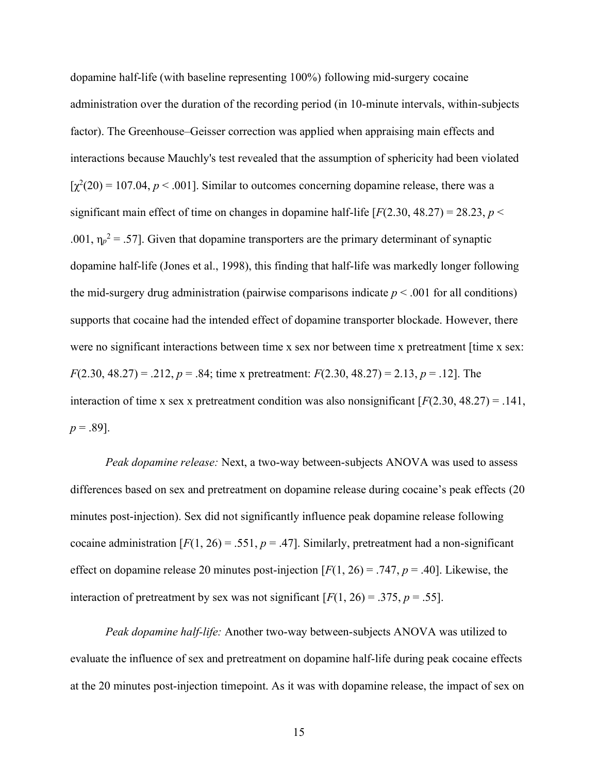dopamine half-life (with baseline representing 100%) following mid-surgery cocaine administration over the duration of the recording period (in 10-minute intervals, within-subjects factor). The Greenhouse–Geisser correction was applied when appraising main effects and interactions because Mauchly's test revealed that the assumption of sphericity had been violated  $[\gamma^2(20) = 107.04, p < .001]$ . Similar to outcomes concerning dopamine release, there was a significant main effect of time on changes in dopamine half-life  $[F(2.30, 48.27) = 28.23, p <$ .001,  $\eta_p^2 = 0.57$ . Given that dopamine transporters are the primary determinant of synaptic dopamine half-life (Jones et al., 1998), this finding that half-life was markedly longer following the mid-surgery drug administration (pairwise comparisons indicate  $p < .001$  for all conditions) supports that cocaine had the intended effect of dopamine transporter blockade. However, there were no significant interactions between time x sex nor between time x pretreatment [time x sex: *F*(2.30, 48.27) = .212, *p* = .84; time x pretreatment: *F*(2.30, 48.27) = 2.13, *p* = .12]. The interaction of time x sex x pretreatment condition was also nonsignificant  $[F(2.30, 48.27) = .141$ ,  $p = .89$ ].

*Peak dopamine release:* Next, a two-way between-subjects ANOVA was used to assess differences based on sex and pretreatment on dopamine release during cocaine's peak effects (20) minutes post-injection). Sex did not significantly influence peak dopamine release following cocaine administration  $[F(1, 26) = .551, p = .47]$ . Similarly, pretreatment had a non-significant effect on dopamine release 20 minutes post-injection [*F*(1, 26) = .747, *p* = .40]. Likewise, the interaction of pretreatment by sex was not significant  $[F(1, 26) = .375, p = .55]$ .

*Peak dopamine half-life:* Another two-way between-subjects ANOVA was utilized to evaluate the influence of sex and pretreatment on dopamine half-life during peak cocaine effects at the 20 minutes post-injection timepoint. As it was with dopamine release, the impact of sex on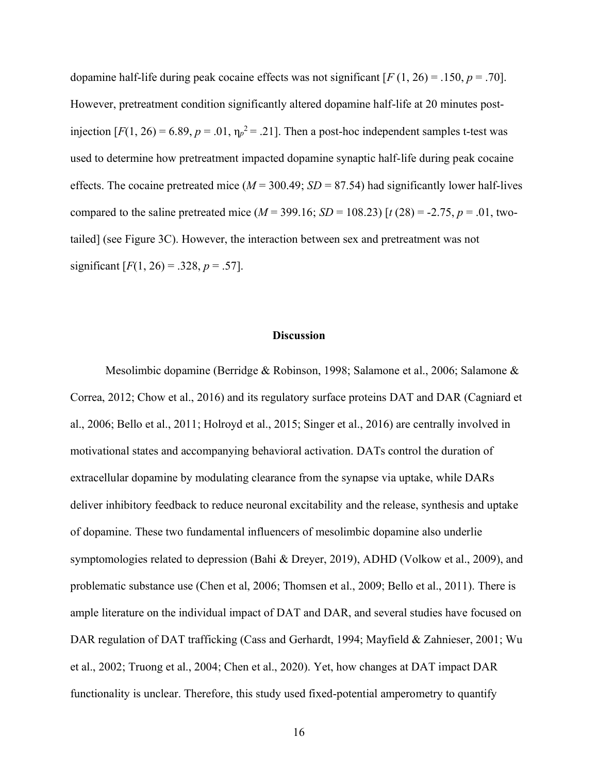dopamine half-life during peak cocaine effects was not significant [*F* (1, 26) = .150, *p* = .70]. However, pretreatment condition significantly altered dopamine half-life at 20 minutes postinjection  $[F(1, 26) = 6.89, p = .01, \eta_p^2 = .21]$ . Then a post-hoc independent samples t-test was used to determine how pretreatment impacted dopamine synaptic half-life during peak cocaine effects. The cocaine pretreated mice  $(M = 300.49; SD = 87.54)$  had significantly lower half-lives compared to the saline pretreated mice ( $M = 399.16$ ;  $SD = 108.23$ ) [ $t(28) = -2.75$ ,  $p = .01$ , twotailed] (see Figure 3C). However, the interaction between sex and pretreatment was not significant  $[F(1, 26) = .328, p = .57]$ .

#### **Discussion**

Mesolimbic dopamine (Berridge & Robinson, 1998; Salamone et al., 2006; Salamone & Correa, 2012; Chow et al., 2016) and its regulatory surface proteins DAT and DAR (Cagniard et al., 2006; Bello et al., 2011; Holroyd et al., 2015; Singer et al., 2016) are centrally involved in motivational states and accompanying behavioral activation. DATs control the duration of extracellular dopamine by modulating clearance from the synapse via uptake, while DARs deliver inhibitory feedback to reduce neuronal excitability and the release, synthesis and uptake of dopamine. These two fundamental influencers of mesolimbic dopamine also underlie symptomologies related to depression (Bahi & Dreyer, 2019), ADHD (Volkow et al., 2009), and problematic substance use (Chen et al, 2006; Thomsen et al., 2009; Bello et al., 2011). There is ample literature on the individual impact of DAT and DAR, and several studies have focused on DAR regulation of DAT trafficking (Cass and Gerhardt, 1994; Mayfield & Zahnieser, 2001; Wu et al., 2002; Truong et al., 2004; Chen et al., 2020). Yet, how changes at DAT impact DAR functionality is unclear. Therefore, this study used fixed-potential amperometry to quantify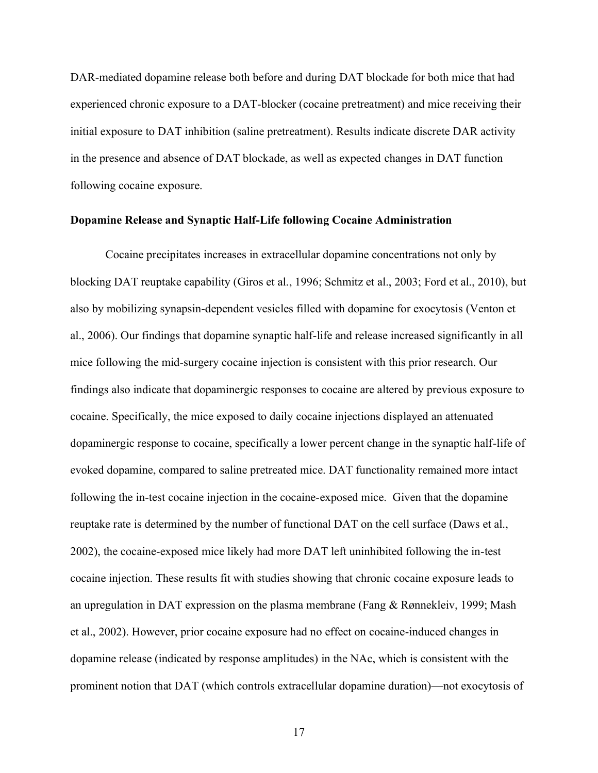DAR-mediated dopamine release both before and during DAT blockade for both mice that had experienced chronic exposure to a DAT-blocker (cocaine pretreatment) and mice receiving their initial exposure to DAT inhibition (saline pretreatment). Results indicate discrete DAR activity in the presence and absence of DAT blockade, as well as expected changes in DAT function following cocaine exposure.

#### **Dopamine Release and Synaptic Half-Life following Cocaine Administration**

Cocaine precipitates increases in extracellular dopamine concentrations not only by blocking DAT reuptake capability (Giros et al., 1996; Schmitz et al., 2003; Ford et al., 2010), but also by mobilizing synapsin-dependent vesicles filled with dopamine for exocytosis (Venton et al., 2006). Our findings that dopamine synaptic half-life and release increased significantly in all mice following the mid-surgery cocaine injection is consistent with this prior research. Our findings also indicate that dopaminergic responses to cocaine are altered by previous exposure to cocaine. Specifically, the mice exposed to daily cocaine injections displayed an attenuated dopaminergic response to cocaine, specifically a lower percent change in the synaptic half-life of evoked dopamine, compared to saline pretreated mice. DAT functionality remained more intact following the in-test cocaine injection in the cocaine-exposed mice. Given that the dopamine reuptake rate is determined by the number of functional DAT on the cell surface (Daws et al., 2002), the cocaine-exposed mice likely had more DAT left uninhibited following the in-test cocaine injection. These results fit with studies showing that chronic cocaine exposure leads to an upregulation in DAT expression on the plasma membrane (Fang & Rønnekleiv, 1999; Mash et al., 2002). However, prior cocaine exposure had no effect on cocaine-induced changes in dopamine release (indicated by response amplitudes) in the NAc, which is consistent with the prominent notion that DAT (which controls extracellular dopamine duration)—not exocytosis of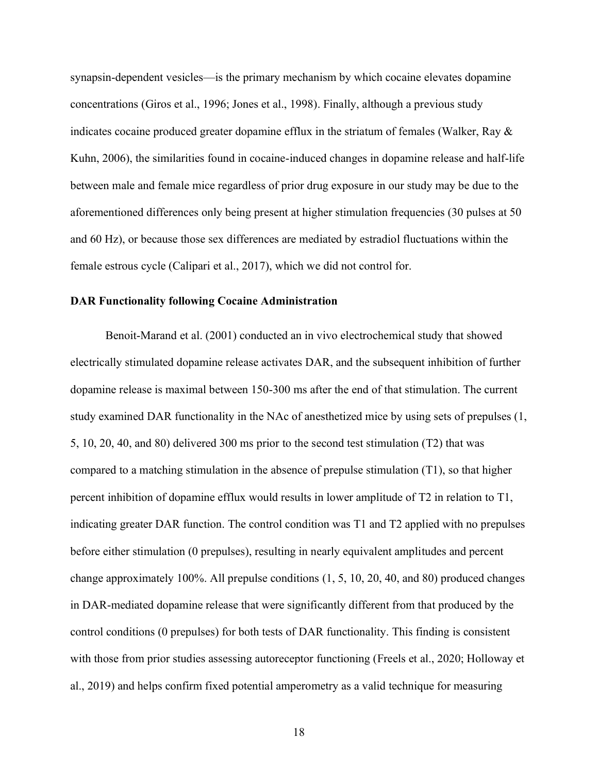synapsin-dependent vesicles—is the primary mechanism by which cocaine elevates dopamine concentrations (Giros et al., 1996; Jones et al., 1998). Finally, although a previous study indicates cocaine produced greater dopamine efflux in the striatum of females (Walker, Ray & Kuhn, 2006), the similarities found in cocaine-induced changes in dopamine release and half-life between male and female mice regardless of prior drug exposure in our study may be due to the aforementioned differences only being present at higher stimulation frequencies (30 pulses at 50 and 60 Hz), or because those sex differences are mediated by estradiol fluctuations within the female estrous cycle (Calipari et al., 2017), which we did not control for.

#### **DAR Functionality following Cocaine Administration**

Benoit-Marand et al. (2001) conducted an in vivo electrochemical study that showed electrically stimulated dopamine release activates DAR, and the subsequent inhibition of further dopamine release is maximal between 150-300 ms after the end of that stimulation. The current study examined DAR functionality in the NAc of anesthetized mice by using sets of prepulses (1, 5, 10, 20, 40, and 80) delivered 300 ms prior to the second test stimulation (T2) that was compared to a matching stimulation in the absence of prepulse stimulation (T1), so that higher percent inhibition of dopamine efflux would results in lower amplitude of T2 in relation to T1, indicating greater DAR function. The control condition was T1 and T2 applied with no prepulses before either stimulation (0 prepulses), resulting in nearly equivalent amplitudes and percent change approximately 100%. All prepulse conditions (1, 5, 10, 20, 40, and 80) produced changes in DAR-mediated dopamine release that were significantly different from that produced by the control conditions (0 prepulses) for both tests of DAR functionality. This finding is consistent with those from prior studies assessing autoreceptor functioning (Freels et al., 2020; Holloway et al., 2019) and helps confirm fixed potential amperometry as a valid technique for measuring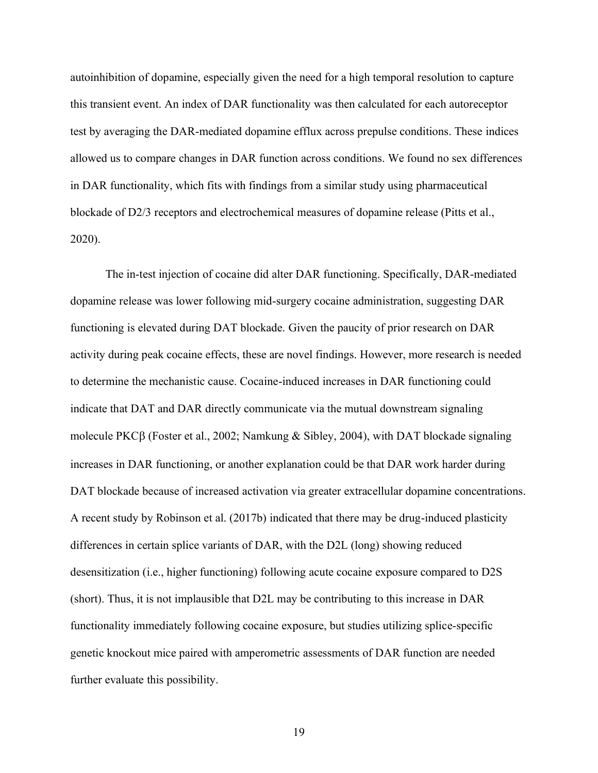autoinhibition of dopamine, especially given the need for a high temporal resolution to capture this transient event. An index of DAR functionality was then calculated for each autoreceptor test by averaging the DAR-mediated dopamine efflux across prepulse conditions. These indices allowed us to compare changes in DAR function across conditions. We found no sex differences in DAR functionality, which fits with findings from a similar study using pharmaceutical blockade of D2/3 receptors and electrochemical measures of dopamine release (Pitts et al., 2020).

The in-test injection of cocaine did alter DAR functioning. Specifically, DAR-mediated dopamine release was lower following mid-surgery cocaine administration, suggesting DAR functioning is elevated during DAT blockade. Given the paucity of prior research on DAR activity during peak cocaine effects, these are novel findings. However, more research is needed to determine the mechanistic cause. Cocaine-induced increases in DAR functioning could indicate that DAT and DAR directly communicate via the mutual downstream signaling molecule PKC $\beta$  (Foster et al., 2002; Namkung & Sibley, 2004), with DAT blockade signaling increases in DAR functioning, or another explanation could be that DAR work harder during DAT blockade because of increased activation via greater extracellular dopamine concentrations. A recent study by Robinson et al. (2017b) indicated that there may be drug-induced plasticity differences in certain splice variants of DAR, with the D2L (long) showing reduced desensitization (i.e., higher functioning) following acute cocaine exposure compared to D2S (short). Thus, it is not implausible that D2L may be contributing to this increase in DAR functionality immediately following cocaine exposure, but studies utilizing splice-specific genetic knockout mice paired with amperometric assessments of DAR function are needed further evaluate this possibility.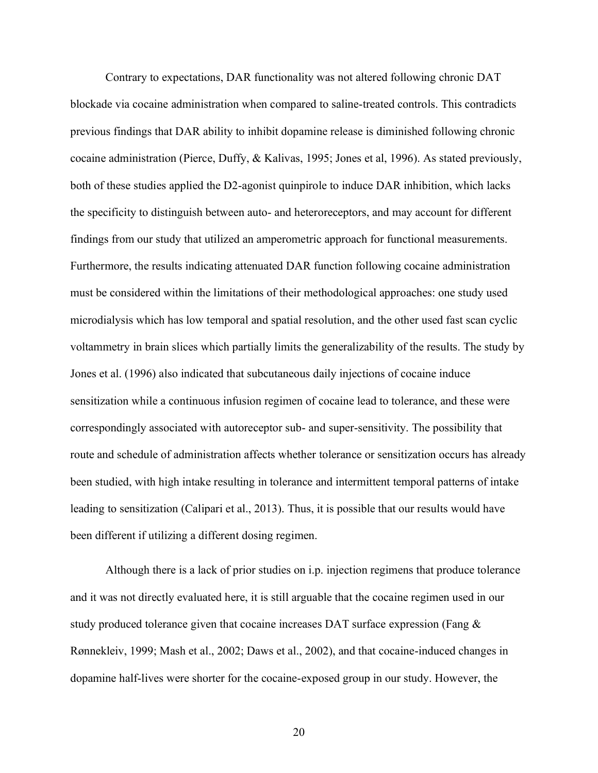Contrary to expectations, DAR functionality was not altered following chronic DAT blockade via cocaine administration when compared to saline-treated controls. This contradicts previous findings that DAR ability to inhibit dopamine release is diminished following chronic cocaine administration (Pierce, Duffy, & Kalivas, 1995; Jones et al, 1996). As stated previously, both of these studies applied the D2-agonist quinpirole to induce DAR inhibition, which lacks the specificity to distinguish between auto- and heteroreceptors, and may account for different findings from our study that utilized an amperometric approach for functional measurements. Furthermore, the results indicating attenuated DAR function following cocaine administration must be considered within the limitations of their methodological approaches: one study used microdialysis which has low temporal and spatial resolution, and the other used fast scan cyclic voltammetry in brain slices which partially limits the generalizability of the results. The study by Jones et al. (1996) also indicated that subcutaneous daily injections of cocaine induce sensitization while a continuous infusion regimen of cocaine lead to tolerance, and these were correspondingly associated with autoreceptor sub- and super-sensitivity. The possibility that route and schedule of administration affects whether tolerance or sensitization occurs has already been studied, with high intake resulting in tolerance and intermittent temporal patterns of intake leading to sensitization (Calipari et al., 2013). Thus, it is possible that our results would have been different if utilizing a different dosing regimen.

Although there is a lack of prior studies on i.p. injection regimens that produce tolerance and it was not directly evaluated here, it is still arguable that the cocaine regimen used in our study produced tolerance given that cocaine increases DAT surface expression (Fang & Rønnekleiv, 1999; Mash et al., 2002; Daws et al., 2002), and that cocaine-induced changes in dopamine half-lives were shorter for the cocaine-exposed group in our study. However, the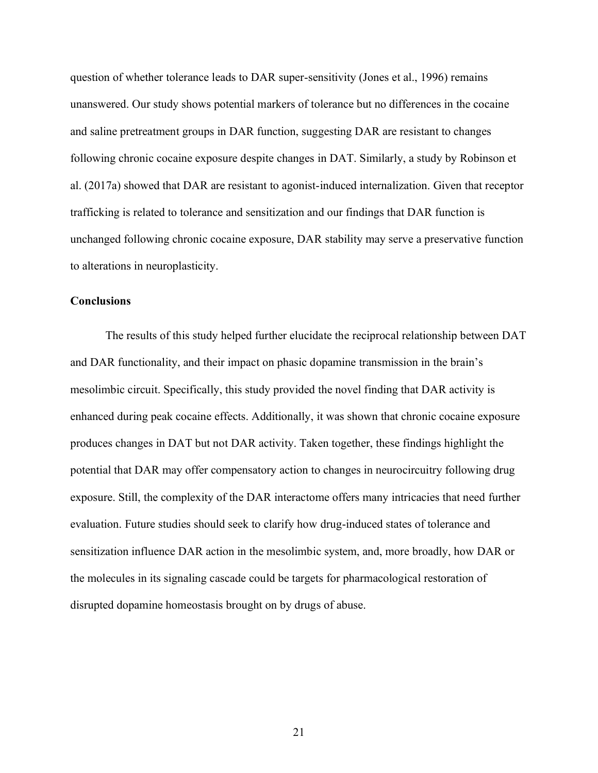question of whether tolerance leads to DAR super-sensitivity (Jones et al., 1996) remains unanswered. Our study shows potential markers of tolerance but no differences in the cocaine and saline pretreatment groups in DAR function, suggesting DAR are resistant to changes following chronic cocaine exposure despite changes in DAT. Similarly, a study by Robinson et al. (2017a) showed that DAR are resistant to agonist-induced internalization. Given that receptor trafficking is related to tolerance and sensitization and our findings that DAR function is unchanged following chronic cocaine exposure, DAR stability may serve a preservative function to alterations in neuroplasticity.

#### **Conclusions**

The results of this study helped further elucidate the reciprocal relationship between DAT and DAR functionality, and their impact on phasic dopamine transmission in the brain's mesolimbic circuit. Specifically, this study provided the novel finding that DAR activity is enhanced during peak cocaine effects. Additionally, it was shown that chronic cocaine exposure produces changes in DAT but not DAR activity. Taken together, these findings highlight the potential that DAR may offer compensatory action to changes in neurocircuitry following drug exposure. Still, the complexity of the DAR interactome offers many intricacies that need further evaluation. Future studies should seek to clarify how drug-induced states of tolerance and sensitization influence DAR action in the mesolimbic system, and, more broadly, how DAR or the molecules in its signaling cascade could be targets for pharmacological restoration of disrupted dopamine homeostasis brought on by drugs of abuse.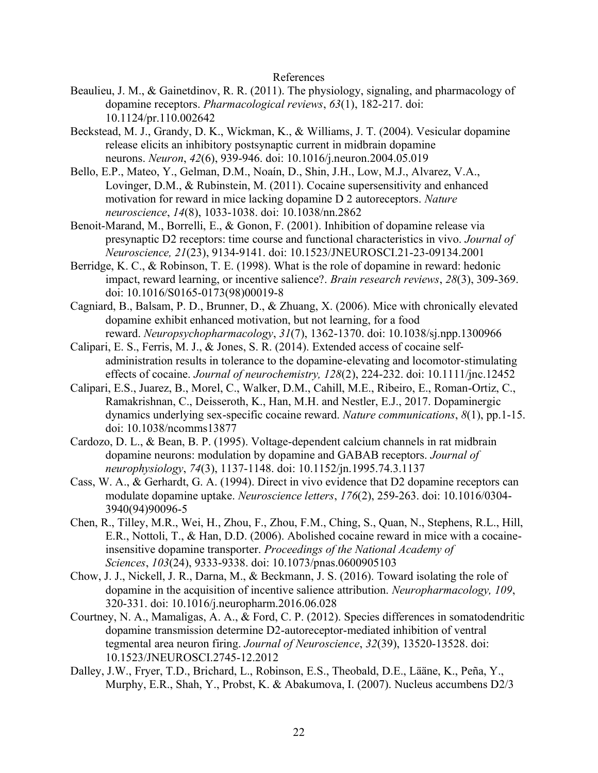#### References

- Beaulieu, J. M., & Gainetdinov, R. R. (2011). The physiology, signaling, and pharmacology of dopamine receptors. *Pharmacological reviews*, *63*(1), 182-217. doi: 10.1124/pr.110.002642
- Beckstead, M. J., Grandy, D. K., Wickman, K., & Williams, J. T. (2004). Vesicular dopamine release elicits an inhibitory postsynaptic current in midbrain dopamine neurons. *Neuron*, *42*(6), 939-946. doi: 10.1016/j.neuron.2004.05.019
- Bello, E.P., Mateo, Y., Gelman, D.M., Noaín, D., Shin, J.H., Low, M.J., Alvarez, V.A., Lovinger, D.M., & Rubinstein, M. (2011). Cocaine supersensitivity and enhanced motivation for reward in mice lacking dopamine D 2 autoreceptors. *Nature neuroscience*, *14*(8), 1033-1038. doi: 10.1038/nn.2862
- Benoit-Marand, M., Borrelli, E., & Gonon, F. (2001). Inhibition of dopamine release via presynaptic D2 receptors: time course and functional characteristics in vivo. *Journal of Neuroscience, 21*(23), 9134-9141. doi: 10.1523/JNEUROSCI.21-23-09134.2001
- Berridge, K. C., & Robinson, T. E. (1998). What is the role of dopamine in reward: hedonic impact, reward learning, or incentive salience?. *Brain research reviews*, *28*(3), 309-369. doi: 10.1016/S0165-0173(98)00019-8
- Cagniard, B., Balsam, P. D., Brunner, D., & Zhuang, X. (2006). Mice with chronically elevated dopamine exhibit enhanced motivation, but not learning, for a food reward. *Neuropsychopharmacology*, *31*(7), 1362-1370. doi: 10.1038/sj.npp.1300966
- Calipari, E. S., Ferris, M. J., & Jones, S. R. (2014). Extended access of cocaine self‐ administration results in tolerance to the dopamine‐elevating and locomotor‐stimulating effects of cocaine. *Journal of neurochemistry, 128*(2), 224-232. doi: 10.1111/jnc.12452
- Calipari, E.S., Juarez, B., Morel, C., Walker, D.M., Cahill, M.E., Ribeiro, E., Roman-Ortiz, C., Ramakrishnan, C., Deisseroth, K., Han, M.H. and Nestler, E.J., 2017. Dopaminergic dynamics underlying sex-specific cocaine reward. *Nature communications*, *8*(1), pp.1-15. doi: 10.1038/ncomms13877
- Cardozo, D. L., & Bean, B. P. (1995). Voltage-dependent calcium channels in rat midbrain dopamine neurons: modulation by dopamine and GABAB receptors. *Journal of neurophysiology*, *74*(3), 1137-1148. doi: 10.1152/jn.1995.74.3.1137
- Cass, W. A., & Gerhardt, G. A. (1994). Direct in vivo evidence that D2 dopamine receptors can modulate dopamine uptake. *Neuroscience letters*, *176*(2), 259-263. doi: 10.1016/0304- 3940(94)90096-5
- Chen, R., Tilley, M.R., Wei, H., Zhou, F., Zhou, F.M., Ching, S., Quan, N., Stephens, R.L., Hill, E.R., Nottoli, T., & Han, D.D. (2006). Abolished cocaine reward in mice with a cocaineinsensitive dopamine transporter. *Proceedings of the National Academy of Sciences*, *103*(24), 9333-9338. doi: 10.1073/pnas.0600905103
- Chow, J. J., Nickell, J. R., Darna, M., & Beckmann, J. S. (2016). Toward isolating the role of dopamine in the acquisition of incentive salience attribution. *Neuropharmacology, 109*, 320-331. doi: 10.1016/j.neuropharm.2016.06.028
- Courtney, N. A., Mamaligas, A. A., & Ford, C. P. (2012). Species differences in somatodendritic dopamine transmission determine D2-autoreceptor-mediated inhibition of ventral tegmental area neuron firing. *Journal of Neuroscience*, *32*(39), 13520-13528. doi: 10.1523/JNEUROSCI.2745-12.2012
- Dalley, J.W., Fryer, T.D., Brichard, L., Robinson, E.S., Theobald, D.E., Lääne, K., Peña, Y., Murphy, E.R., Shah, Y., Probst, K. & Abakumova, I. (2007). Nucleus accumbens D2/3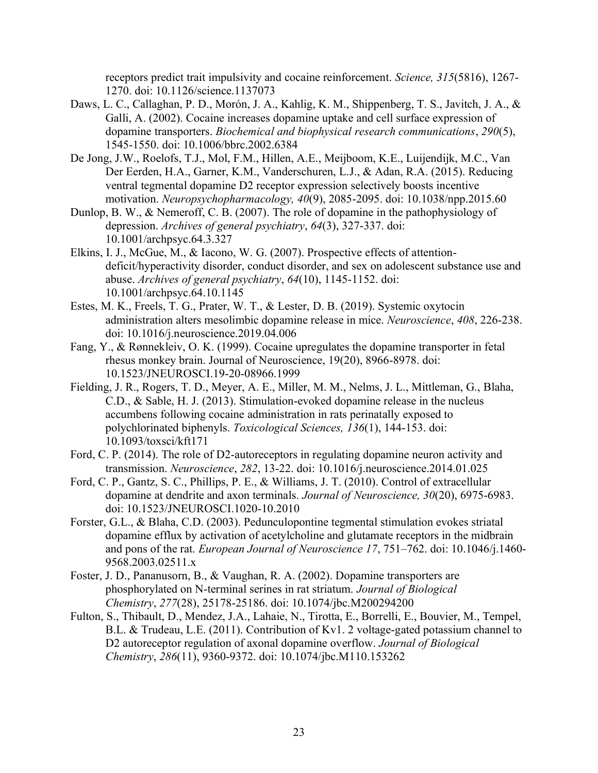receptors predict trait impulsivity and cocaine reinforcement. *Science, 315*(5816), 1267- 1270. doi: 10.1126/science.1137073

- Daws, L. C., Callaghan, P. D., Morón, J. A., Kahlig, K. M., Shippenberg, T. S., Javitch, J. A., & Galli, A. (2002). Cocaine increases dopamine uptake and cell surface expression of dopamine transporters. *Biochemical and biophysical research communications*, *290*(5), 1545-1550. doi: 10.1006/bbrc.2002.6384
- De Jong, J.W., Roelofs, T.J., Mol, F.M., Hillen, A.E., Meijboom, K.E., Luijendijk, M.C., Van Der Eerden, H.A., Garner, K.M., Vanderschuren, L.J., & Adan, R.A. (2015). Reducing ventral tegmental dopamine D2 receptor expression selectively boosts incentive motivation. *Neuropsychopharmacology, 40*(9), 2085-2095. doi: 10.1038/npp.2015.60
- Dunlop, B. W., & Nemeroff, C. B. (2007). The role of dopamine in the pathophysiology of depression. *Archives of general psychiatry*, *64*(3), 327-337. doi: 10.1001/archpsyc.64.3.327
- Elkins, I. J., McGue, M., & Iacono, W. G. (2007). Prospective effects of attentiondeficit/hyperactivity disorder, conduct disorder, and sex on adolescent substance use and abuse. *Archives of general psychiatry*, *64*(10), 1145-1152. doi: 10.1001/archpsyc.64.10.1145
- Estes, M. K., Freels, T. G., Prater, W. T., & Lester, D. B. (2019). Systemic oxytocin administration alters mesolimbic dopamine release in mice. *Neuroscience*, *408*, 226-238. doi: 10.1016/j.neuroscience.2019.04.006
- Fang, Y., & Rønnekleiv, O. K. (1999). Cocaine upregulates the dopamine transporter in fetal rhesus monkey brain. Journal of Neuroscience, 19(20), 8966-8978. doi: 10.1523/JNEUROSCI.19-20-08966.1999
- Fielding, J. R., Rogers, T. D., Meyer, A. E., Miller, M. M., Nelms, J. L., Mittleman, G., Blaha, C.D., & Sable, H. J. (2013). Stimulation-evoked dopamine release in the nucleus accumbens following cocaine administration in rats perinatally exposed to polychlorinated biphenyls. *Toxicological Sciences, 136*(1), 144-153. doi: 10.1093/toxsci/kft171
- Ford, C. P. (2014). The role of D2-autoreceptors in regulating dopamine neuron activity and transmission. *Neuroscience*, *282*, 13-22. doi: 10.1016/j.neuroscience.2014.01.025
- Ford, C. P., Gantz, S. C., Phillips, P. E., & Williams, J. T. (2010). Control of extracellular dopamine at dendrite and axon terminals. *Journal of Neuroscience, 30*(20), 6975-6983. doi: 10.1523/JNEUROSCI.1020-10.2010
- Forster, G.L., & Blaha, C.D. (2003). Pedunculopontine tegmental stimulation evokes striatal dopamine efflux by activation of acetylcholine and glutamate receptors in the midbrain and pons of the rat. *European Journal of Neuroscience 17*, 751–762. doi: 10.1046/j.1460-9568.2003.02511.x
- Foster, J. D., Pananusorn, B., & Vaughan, R. A. (2002). Dopamine transporters are phosphorylated on N-terminal serines in rat striatum. *Journal of Biological Chemistry*, *277*(28), 25178-25186. doi: 10.1074/jbc.M200294200
- Fulton, S., Thibault, D., Mendez, J.A., Lahaie, N., Tirotta, E., Borrelli, E., Bouvier, M., Tempel, B.L. & Trudeau, L.E. (2011). Contribution of Kv1. 2 voltage-gated potassium channel to D2 autoreceptor regulation of axonal dopamine overflow. *Journal of Biological Chemistry*, *286*(11), 9360-9372. doi: 10.1074/jbc.M110.153262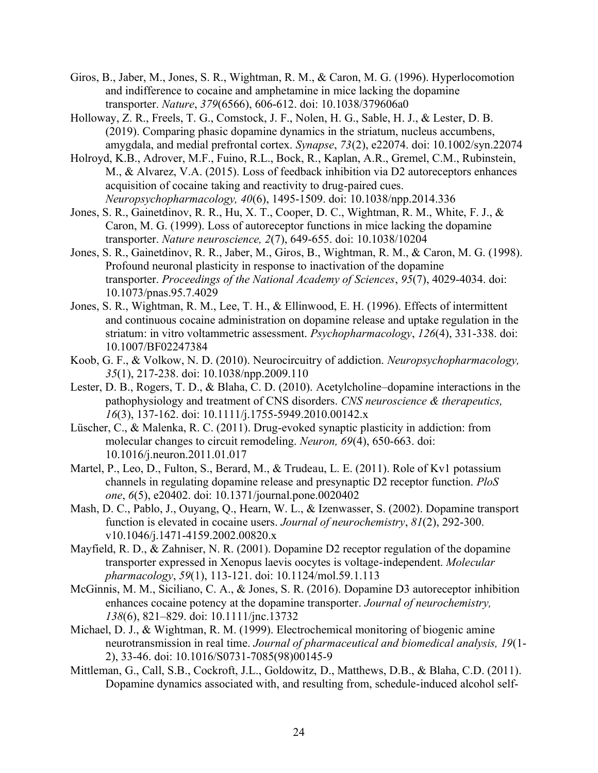- Giros, B., Jaber, M., Jones, S. R., Wightman, R. M., & Caron, M. G. (1996). Hyperlocomotion and indifference to cocaine and amphetamine in mice lacking the dopamine transporter. *Nature*, *379*(6566), 606-612. doi: 10.1038/379606a0
- Holloway, Z. R., Freels, T. G., Comstock, J. F., Nolen, H. G., Sable, H. J., & Lester, D. B. (2019). Comparing phasic dopamine dynamics in the striatum, nucleus accumbens, amygdala, and medial prefrontal cortex. *Synapse*, *73*(2), e22074. doi: 10.1002/syn.22074
- Holroyd, K.B., Adrover, M.F., Fuino, R.L., Bock, R., Kaplan, A.R., Gremel, C.M., Rubinstein, M., & Alvarez, V.A. (2015). Loss of feedback inhibition via D2 autoreceptors enhances acquisition of cocaine taking and reactivity to drug-paired cues. *Neuropsychopharmacology, 40*(6), 1495-1509. doi: 10.1038/npp.2014.336
- Jones, S. R., Gainetdinov, R. R., Hu, X. T., Cooper, D. C., Wightman, R. M., White, F. J., & Caron, M. G. (1999). Loss of autoreceptor functions in mice lacking the dopamine transporter. *Nature neuroscience, 2*(7), 649-655. doi: 10.1038/10204
- Jones, S. R., Gainetdinov, R. R., Jaber, M., Giros, B., Wightman, R. M., & Caron, M. G. (1998). Profound neuronal plasticity in response to inactivation of the dopamine transporter. *Proceedings of the National Academy of Sciences*, *95*(7), 4029-4034. doi: 10.1073/pnas.95.7.4029
- Jones, S. R., Wightman, R. M., Lee, T. H., & Ellinwood, E. H. (1996). Effects of intermittent and continuous cocaine administration on dopamine release and uptake regulation in the striatum: in vitro voltammetric assessment. *Psychopharmacology*, *126*(4), 331-338. doi: 10.1007/BF02247384
- Koob, G. F., & Volkow, N. D. (2010). Neurocircuitry of addiction. *Neuropsychopharmacology, 35*(1), 217-238. doi: 10.1038/npp.2009.110
- Lester, D. B., Rogers, T. D., & Blaha, C. D. (2010). Acetylcholine-dopamine interactions in the pathophysiology and treatment of CNS disorders. *CNS neuroscience & therapeutics, 16*(3), 137-162. doi: 10.1111/j.1755-5949.2010.00142.x
- Lüscher, C., & Malenka, R. C. (2011). Drug-evoked synaptic plasticity in addiction: from molecular changes to circuit remodeling. *Neuron, 69*(4), 650-663. doi: 10.1016/j.neuron.2011.01.017
- Martel, P., Leo, D., Fulton, S., Berard, M., & Trudeau, L. E. (2011). Role of Kv1 potassium channels in regulating dopamine release and presynaptic D2 receptor function. *PloS one*, *6*(5), e20402. doi: 10.1371/journal.pone.0020402
- Mash, D. C., Pablo, J., Ouyang, Q., Hearn, W. L., & Izenwasser, S. (2002). Dopamine transport function is elevated in cocaine users. *Journal of neurochemistry*, *81*(2), 292-300. v10.1046/j.1471-4159.2002.00820.x
- Mayfield, R. D., & Zahniser, N. R. (2001). Dopamine D2 receptor regulation of the dopamine transporter expressed in Xenopus laevis oocytes is voltage-independent. *Molecular pharmacology*, *59*(1), 113-121. doi: 10.1124/mol.59.1.113
- McGinnis, M. M., Siciliano, C. A., & Jones, S. R. (2016). Dopamine D3 autoreceptor inhibition enhances cocaine potency at the dopamine transporter. *Journal of neurochemistry, 138*(6), 821–829. doi: 10.1111/jnc.13732
- Michael, D. J., & Wightman, R. M. (1999). Electrochemical monitoring of biogenic amine neurotransmission in real time. *Journal of pharmaceutical and biomedical analysis, 19*(1- 2), 33-46. doi: 10.1016/S0731-7085(98)00145-9
- Mittleman, G., Call, S.B., Cockroft, J.L., Goldowitz, D., Matthews, D.B., & Blaha, C.D. (2011). Dopamine dynamics associated with, and resulting from, schedule-induced alcohol self-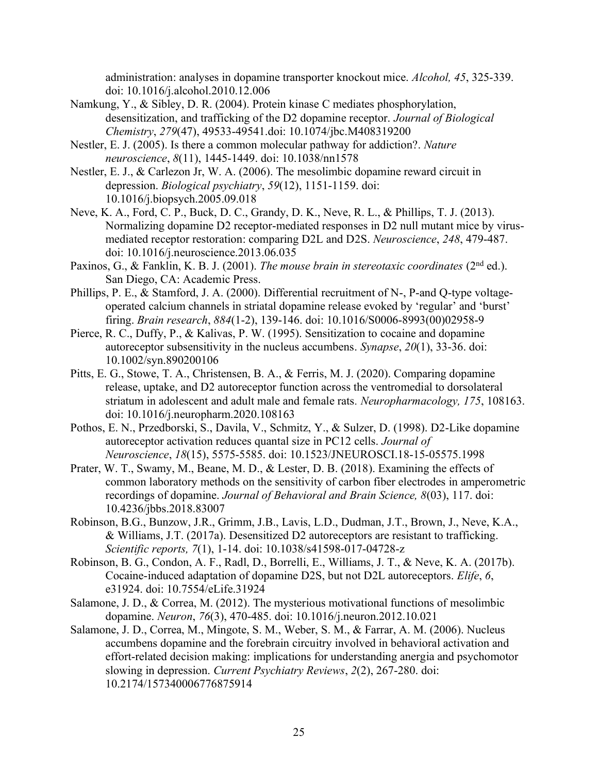administration: analyses in dopamine transporter knockout mice. *Alcohol, 45*, 325-339. doi: 10.1016/j.alcohol.2010.12.006

- Namkung, Y., & Sibley, D. R. (2004). Protein kinase C mediates phosphorylation, desensitization, and trafficking of the D2 dopamine receptor. *Journal of Biological Chemistry*, *279*(47), 49533-49541.doi: 10.1074/jbc.M408319200
- Nestler, E. J. (2005). Is there a common molecular pathway for addiction?. *Nature neuroscience*, *8*(11), 1445-1449. doi: 10.1038/nn1578
- Nestler, E. J., & Carlezon Jr, W. A. (2006). The mesolimbic dopamine reward circuit in depression. *Biological psychiatry*, *59*(12), 1151-1159. doi: 10.1016/j.biopsych.2005.09.018
- Neve, K. A., Ford, C. P., Buck, D. C., Grandy, D. K., Neve, R. L., & Phillips, T. J. (2013). Normalizing dopamine D2 receptor-mediated responses in D2 null mutant mice by virusmediated receptor restoration: comparing D2L and D2S. *Neuroscience*, *248*, 479-487. doi: 10.1016/j.neuroscience.2013.06.035
- Paxinos, G., & Fanklin, K. B. J. (2001). *The mouse brain in stereotaxic coordinates* (2<sup>nd</sup> ed.). San Diego, CA: Academic Press.
- Phillips, P. E., & Stamford, J. A. (2000). Differential recruitment of N-, P-and Q-type voltageoperated calcium channels in striatal dopamine release evoked by 'regular' and 'burst' firing. *Brain research*, *884*(1-2), 139-146. doi: 10.1016/S0006-8993(00)02958-9
- Pierce, R. C., Duffy, P., & Kalivas, P. W. (1995). Sensitization to cocaine and dopamine autoreceptor subsensitivity in the nucleus accumbens. *Synapse*, *20*(1), 33-36. doi: 10.1002/syn.890200106
- Pitts, E. G., Stowe, T. A., Christensen, B. A., & Ferris, M. J. (2020). Comparing dopamine release, uptake, and D2 autoreceptor function across the ventromedial to dorsolateral striatum in adolescent and adult male and female rats*. Neuropharmacology, 175*, 108163. doi: 10.1016/j.neuropharm.2020.108163
- Pothos, E. N., Przedborski, S., Davila, V., Schmitz, Y., & Sulzer, D. (1998). D2-Like dopamine autoreceptor activation reduces quantal size in PC12 cells. *Journal of Neuroscience*, *18*(15), 5575-5585. doi: 10.1523/JNEUROSCI.18-15-05575.1998
- Prater, W. T., Swamy, M., Beane, M. D., & Lester, D. B. (2018). Examining the effects of common laboratory methods on the sensitivity of carbon fiber electrodes in amperometric recordings of dopamine. *Journal of Behavioral and Brain Science, 8*(03), 117. doi: 10.4236/jbbs.2018.83007
- Robinson, B.G., Bunzow, J.R., Grimm, J.B., Lavis, L.D., Dudman, J.T., Brown, J., Neve, K.A., & Williams, J.T. (2017a). Desensitized D2 autoreceptors are resistant to trafficking. *Scientific reports, 7*(1), 1-14. doi: 10.1038/s41598-017-04728-z
- Robinson, B. G., Condon, A. F., Radl, D., Borrelli, E., Williams, J. T., & Neve, K. A. (2017b). Cocaine-induced adaptation of dopamine D2S, but not D2L autoreceptors. *Elife*, *6*, e31924. doi: 10.7554/eLife.31924
- Salamone, J. D., & Correa, M. (2012). The mysterious motivational functions of mesolimbic dopamine. *Neuron*, *76*(3), 470-485. doi: 10.1016/j.neuron.2012.10.021
- Salamone, J. D., Correa, M., Mingote, S. M., Weber, S. M., & Farrar, A. M. (2006). Nucleus accumbens dopamine and the forebrain circuitry involved in behavioral activation and effort-related decision making: implications for understanding anergia and psychomotor slowing in depression. *Current Psychiatry Reviews*, *2*(2), 267-280. doi: 10.2174/157340006776875914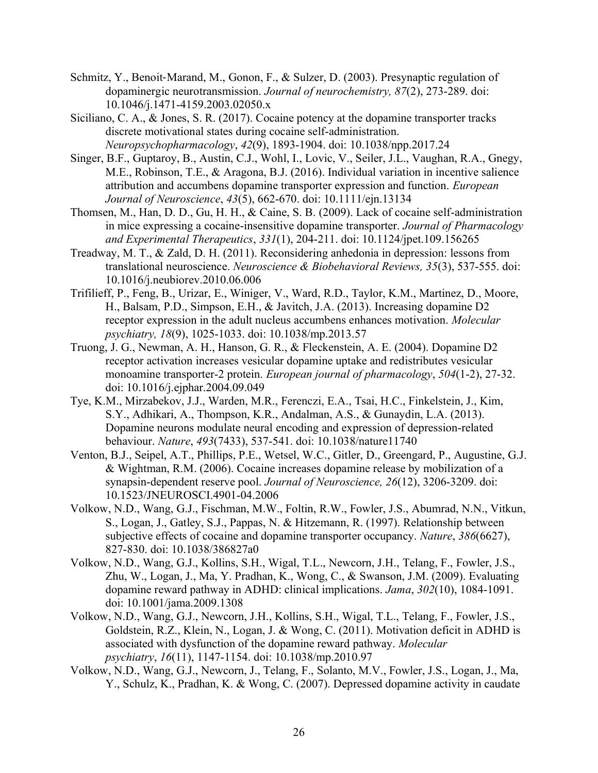- Schmitz, Y., Benoit‐Marand, M., Gonon, F., & Sulzer, D. (2003). Presynaptic regulation of dopaminergic neurotransmission. *Journal of neurochemistry, 87*(2), 273-289. doi: 10.1046/j.1471-4159.2003.02050.x
- Siciliano, C. A., & Jones, S. R. (2017). Cocaine potency at the dopamine transporter tracks discrete motivational states during cocaine self-administration. *Neuropsychopharmacology*, *42*(9), 1893-1904. doi: 10.1038/npp.2017.24
- Singer, B.F., Guptaroy, B., Austin, C.J., Wohl, I., Lovic, V., Seiler, J.L., Vaughan, R.A., Gnegy, M.E., Robinson, T.E., & Aragona, B.J. (2016). Individual variation in incentive salience attribution and accumbens dopamine transporter expression and function. *European Journal of Neuroscience*, *43*(5), 662-670. doi: 10.1111/ejn.13134
- Thomsen, M., Han, D. D., Gu, H. H., & Caine, S. B. (2009). Lack of cocaine self-administration in mice expressing a cocaine-insensitive dopamine transporter. *Journal of Pharmacology and Experimental Therapeutics*, *331*(1), 204-211. doi: 10.1124/jpet.109.156265
- Treadway, M. T., & Zald, D. H. (2011). Reconsidering anhedonia in depression: lessons from translational neuroscience. *Neuroscience & Biobehavioral Reviews, 35*(3), 537-555. doi: 10.1016/j.neubiorev.2010.06.006
- Trifilieff, P., Feng, B., Urizar, E., Winiger, V., Ward, R.D., Taylor, K.M., Martinez, D., Moore, H., Balsam, P.D., Simpson, E.H., & Javitch, J.A. (2013). Increasing dopamine D2 receptor expression in the adult nucleus accumbens enhances motivation. *Molecular psychiatry, 18*(9), 1025-1033. doi: 10.1038/mp.2013.57
- Truong, J. G., Newman, A. H., Hanson, G. R., & Fleckenstein, A. E. (2004). Dopamine D2 receptor activation increases vesicular dopamine uptake and redistributes vesicular monoamine transporter-2 protein. *European journal of pharmacology*, *504*(1-2), 27-32. doi: 10.1016/j.ejphar.2004.09.049
- Tye, K.M., Mirzabekov, J.J., Warden, M.R., Ferenczi, E.A., Tsai, H.C., Finkelstein, J., Kim, S.Y., Adhikari, A., Thompson, K.R., Andalman, A.S., & Gunaydin, L.A. (2013). Dopamine neurons modulate neural encoding and expression of depression-related behaviour. *Nature*, *493*(7433), 537-541. doi: 10.1038/nature11740
- Venton, B.J., Seipel, A.T., Phillips, P.E., Wetsel, W.C., Gitler, D., Greengard, P., Augustine, G.J. & Wightman, R.M. (2006). Cocaine increases dopamine release by mobilization of a synapsin-dependent reserve pool. *Journal of Neuroscience, 26*(12), 3206-3209. doi: 10.1523/JNEUROSCI.4901-04.2006
- Volkow, N.D., Wang, G.J., Fischman, M.W., Foltin, R.W., Fowler, J.S., Abumrad, N.N., Vitkun, S., Logan, J., Gatley, S.J., Pappas, N. & Hitzemann, R. (1997). Relationship between subjective effects of cocaine and dopamine transporter occupancy. *Nature*, *386*(6627), 827-830. doi: 10.1038/386827a0
- Volkow, N.D., Wang, G.J., Kollins, S.H., Wigal, T.L., Newcorn, J.H., Telang, F., Fowler, J.S., Zhu, W., Logan, J., Ma, Y. Pradhan, K., Wong, C., & Swanson, J.M. (2009). Evaluating dopamine reward pathway in ADHD: clinical implications. *Jama*, *302*(10), 1084-1091. doi: 10.1001/jama.2009.1308
- Volkow, N.D., Wang, G.J., Newcorn, J.H., Kollins, S.H., Wigal, T.L., Telang, F., Fowler, J.S., Goldstein, R.Z., Klein, N., Logan, J. & Wong, C. (2011). Motivation deficit in ADHD is associated with dysfunction of the dopamine reward pathway. *Molecular psychiatry*, *16*(11), 1147-1154. doi: 10.1038/mp.2010.97
- Volkow, N.D., Wang, G.J., Newcorn, J., Telang, F., Solanto, M.V., Fowler, J.S., Logan, J., Ma, Y., Schulz, K., Pradhan, K. & Wong, C. (2007). Depressed dopamine activity in caudate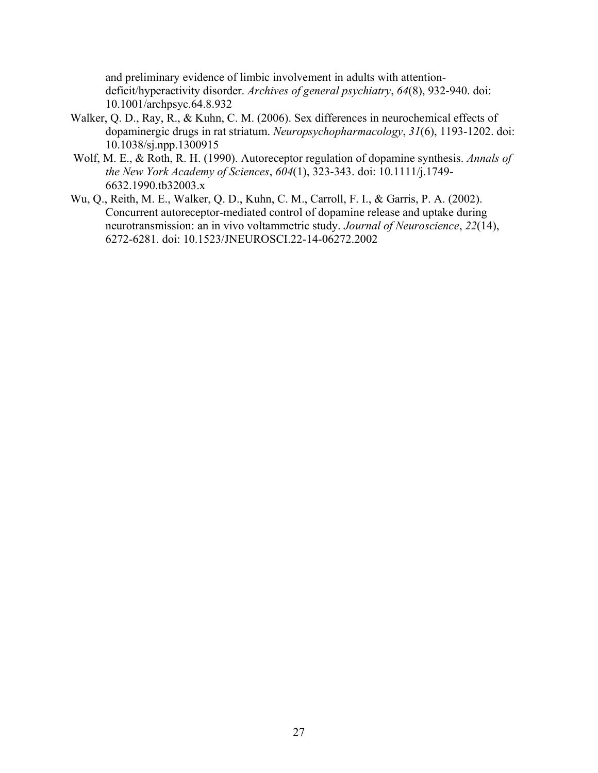and preliminary evidence of limbic involvement in adults with attentiondeficit/hyperactivity disorder. *Archives of general psychiatry*, *64*(8), 932-940. doi: 10.1001/archpsyc.64.8.932

- Walker, Q. D., Ray, R., & Kuhn, C. M. (2006). Sex differences in neurochemical effects of dopaminergic drugs in rat striatum. *Neuropsychopharmacology*, *31*(6), 1193-1202. doi: 10.1038/sj.npp.1300915
- Wolf, M. E., & Roth, R. H. (1990). Autoreceptor regulation of dopamine synthesis. *Annals of the New York Academy of Sciences*, *604*(1), 323-343. doi: 10.1111/j.1749- 6632.1990.tb32003.x
- Wu, Q., Reith, M. E., Walker, Q. D., Kuhn, C. M., Carroll, F. I., & Garris, P. A. (2002). Concurrent autoreceptor-mediated control of dopamine release and uptake during neurotransmission: an in vivo voltammetric study. *Journal of Neuroscience*, *22*(14), 6272-6281. doi: 10.1523/JNEUROSCI.22-14-06272.2002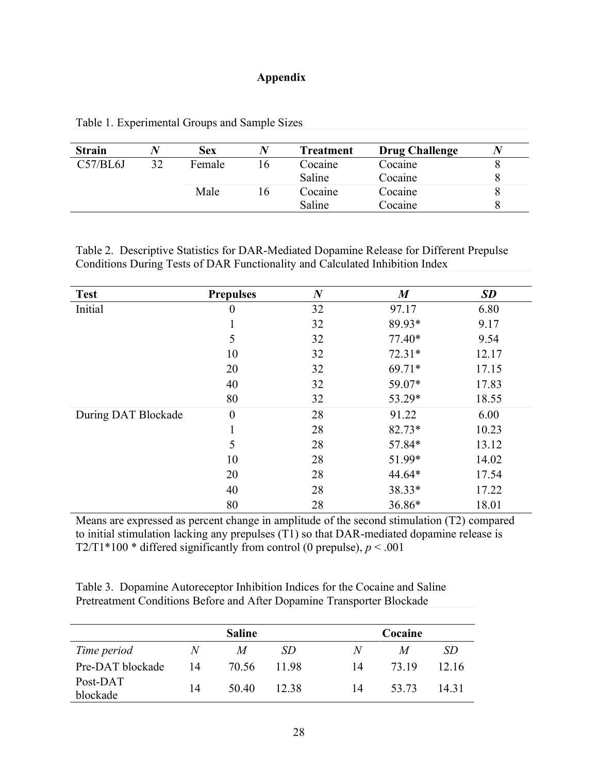#### **Appendix**

| <b>Strain</b> |    | <b>Sex</b> | Treatment | <b>Drug Challenge</b> |  |
|---------------|----|------------|-----------|-----------------------|--|
| C57/BL6J      | 32 | Female     | Cocaine   | Cocaine               |  |
|               |    |            | Saline    | Cocaine               |  |
|               |    | Male       | Cocaine   | Cocaine               |  |
|               |    |            | Saline    | Cocaine               |  |

Table 1. Experimental Groups and Sample Sizes

Table 2. Descriptive Statistics for DAR-Mediated Dopamine Release for Different Prepulse Conditions During Tests of DAR Functionality and Calculated Inhibition Index

| <b>Test</b>         | <b>Prepulses</b> | $\boldsymbol{N}$ | $\boldsymbol{M}$ | <b>SD</b> |
|---------------------|------------------|------------------|------------------|-----------|
| Initial             | $\boldsymbol{0}$ | 32               | 97.17            | 6.80      |
|                     |                  | 32               | 89.93*           | 9.17      |
|                     | 5                | 32               | $77.40*$         | 9.54      |
|                     | 10               | 32               | $72.31*$         | 12.17     |
|                     | 20               | 32               | 69.71*           | 17.15     |
|                     | 40               | 32               | 59.07*           | 17.83     |
|                     | 80               | 32               | 53.29*           | 18.55     |
| During DAT Blockade | $\boldsymbol{0}$ | 28               | 91.22            | 6.00      |
|                     | $\mathbf{1}$     | 28               | 82.73*           | 10.23     |
|                     | 5                | 28               | 57.84*           | 13.12     |
|                     | 10               | 28               | 51.99*           | 14.02     |
|                     | 20               | 28               | 44.64*           | 17.54     |
|                     | 40               | 28               | 38.33*           | 17.22     |
|                     | 80               | 28               | 36.86*           | 18.01     |

Means are expressed as percent change in amplitude of the second stimulation (T2) compared to initial stimulation lacking any prepulses (T1) so that DAR-mediated dopamine release is T2/T1\*100 \* differed significantly from control (0 prepulse),  $p < .001$ 

Table 3. Dopamine Autoreceptor Inhibition Indices for the Cocaine and Saline Pretreatment Conditions Before and After Dopamine Transporter Blockade

|                      | <b>Saline</b> |       |       | Cocaine |       |       |
|----------------------|---------------|-------|-------|---------|-------|-------|
| Time period          | N             | M     | SD.   | N       | M     | SD    |
| Pre-DAT blockade     | 14            | 70.56 | 1198  | 14      | 73.19 | 12.16 |
| Post-DAT<br>blockade | 14            | 50.40 | 12.38 | 14      | 53.73 | 14 31 |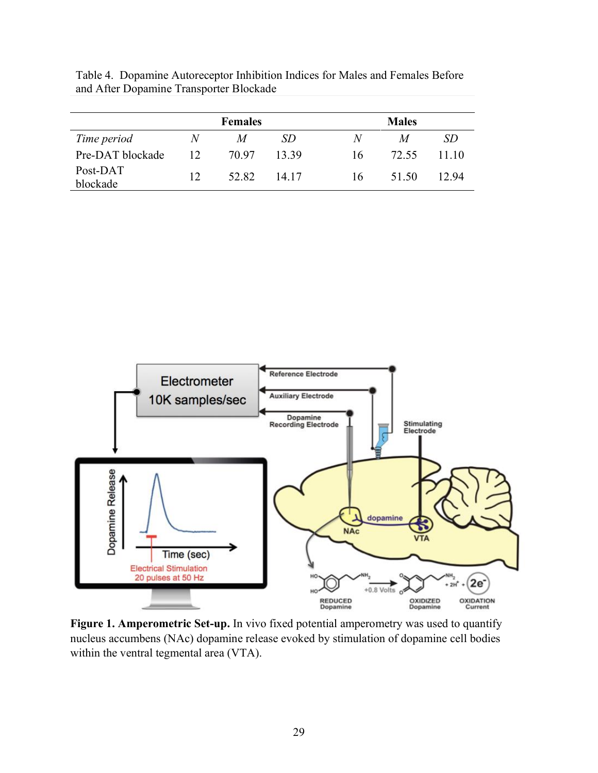Table 4. Dopamine Autoreceptor Inhibition Indices for Males and Females Before and After Dopamine Transporter Blockade

|                      | <b>Females</b> |       |       | <b>Males</b> |                  |       |
|----------------------|----------------|-------|-------|--------------|------------------|-------|
| Time period          | $\mathcal{N}$  | M     | SD    | N            | $\boldsymbol{M}$ | SD.   |
| Pre-DAT blockade     | 12             | 70.97 | 13 39 | 16           | 72.55            | 11 10 |
| Post-DAT<br>blockade | $12^{\circ}$   | 52.82 | 14 17 | 16           | 51.50            | 12.94 |



**Figure 1. Amperometric Set-up.** In vivo fixed potential amperometry was used to quantify nucleus accumbens (NAc) dopamine release evoked by stimulation of dopamine cell bodies within the ventral tegmental area (VTA).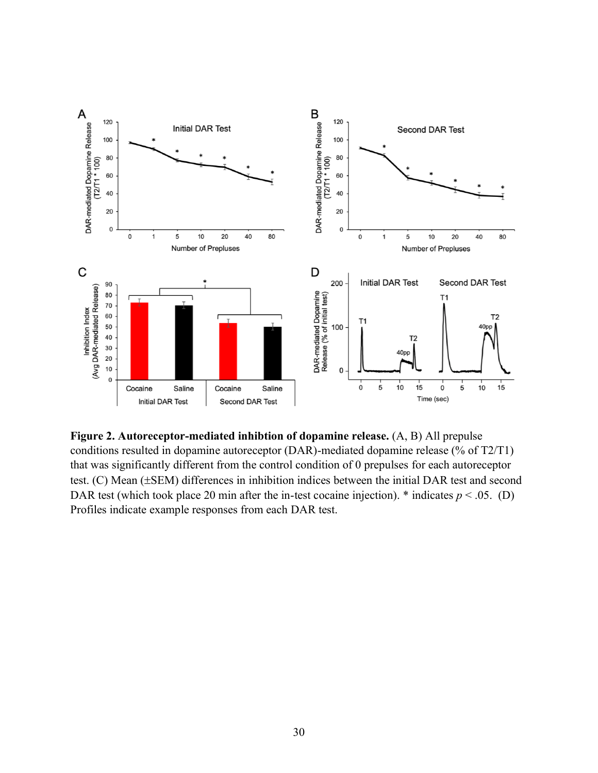

**Figure 2. Autoreceptor-mediated inhibtion of dopamine release.** (A, B) All prepulse conditions resulted in dopamine autoreceptor (DAR)-mediated dopamine release (% of T2/T1) that was significantly different from the control condition of 0 prepulses for each autoreceptor test.  $(C)$  Mean ( $\pm$ SEM) differences in inhibition indices between the initial DAR test and second DAR test (which took place 20 min after the in-test cocaine injection).  $*$  indicates  $p < .05$ . (D) Profiles indicate example responses from each DAR test.